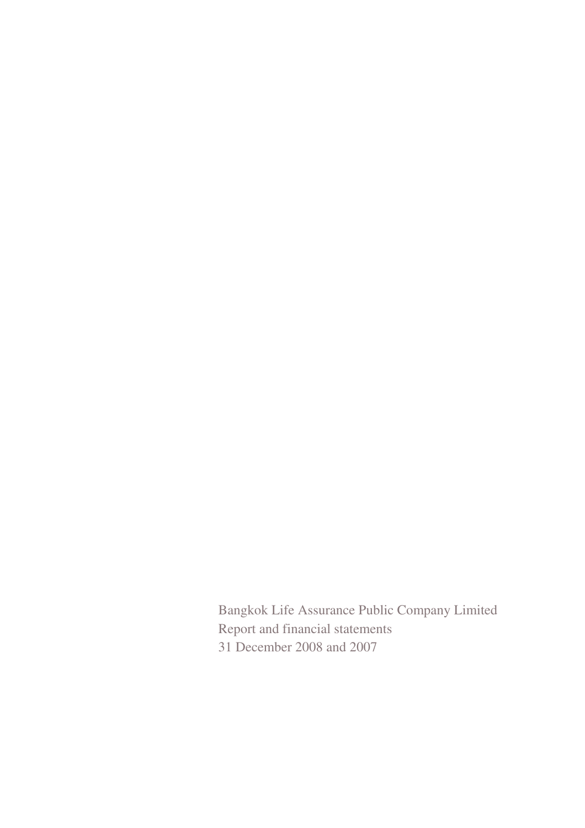Bangkok Life Assurance Public Company Limited Report and financial statements 31 December 2008 and 2007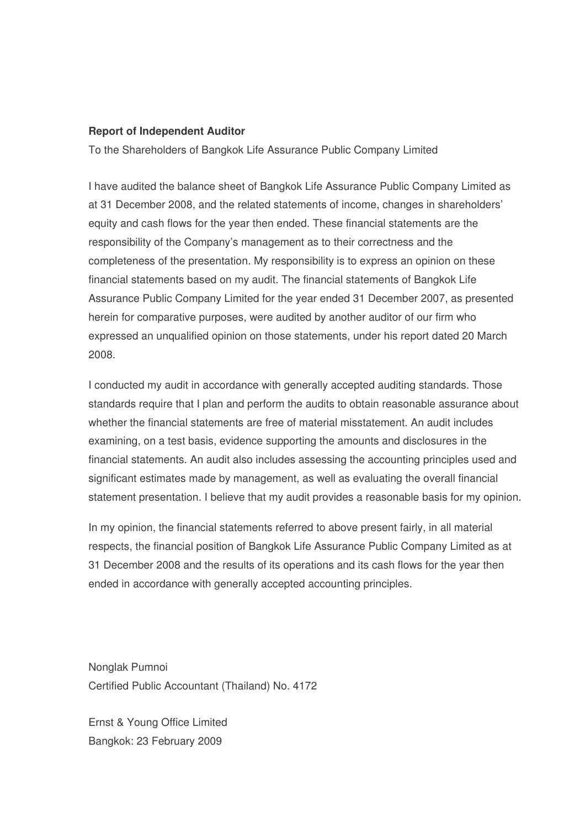#### **Report of Independent Auditor**

To the Shareholders of Bangkok Life Assurance Public Company Limited

I have audited the balance sheet of Bangkok Life Assurance Public Company Limited as at 31 December 2008, and the related statements of income, changes in shareholders' equity and cash flows for the year then ended. These financial statements are the responsibility of the Company's management as to their correctness and the completeness of the presentation. My responsibility is to express an opinion on these financial statements based on my audit. The financial statements of Bangkok Life Assurance Public Company Limited for the year ended 31 December 2007, as presented herein for comparative purposes, were audited by another auditor of our firm who expressed an unqualified opinion on those statements, under his report dated 20 March 2008.

I conducted my audit in accordance with generally accepted auditing standards. Those standards require that I plan and perform the audits to obtain reasonable assurance about whether the financial statements are free of material misstatement. An audit includes examining, on a test basis, evidence supporting the amounts and disclosures in the financial statements. An audit also includes assessing the accounting principles used and significant estimates made by management, as well as evaluating the overall financial statement presentation. I believe that my audit provides a reasonable basis for my opinion.

In my opinion, the financial statements referred to above present fairly, in all material respects, the financial position of Bangkok Life Assurance Public Company Limited as at 31 December 2008 and the results of its operations and its cash flows for the year then ended in accordance with generally accepted accounting principles.

Nonglak Pumnoi Certified Public Accountant (Thailand) No. 4172

Ernst & Young Office Limited Bangkok: 23 February 2009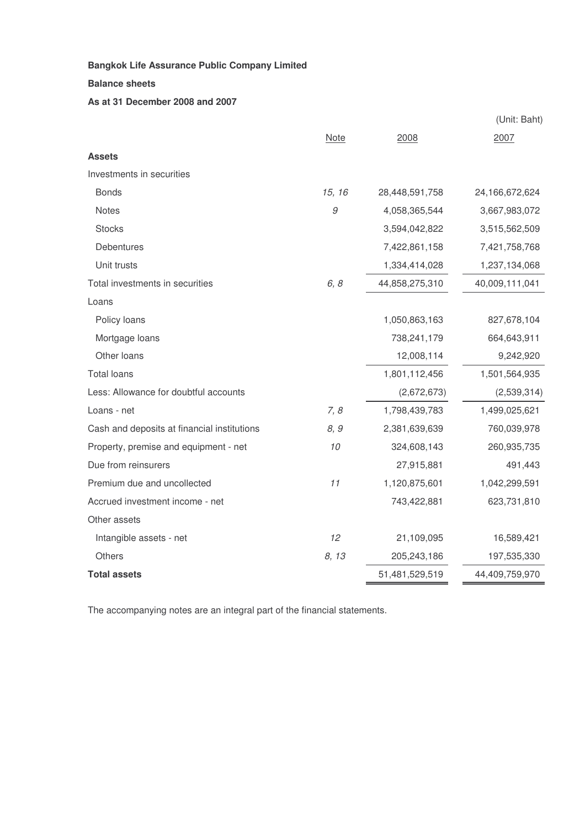#### **Balance sheets**

#### **As at 31 December 2008 and 2007**

|                                             |        |                | (Unit: Baht)      |
|---------------------------------------------|--------|----------------|-------------------|
|                                             | Note   | 2008           | 2007              |
| <b>Assets</b>                               |        |                |                   |
| Investments in securities                   |        |                |                   |
| <b>Bonds</b>                                | 15, 16 | 28,448,591,758 | 24, 166, 672, 624 |
| <b>Notes</b>                                | 9      | 4,058,365,544  | 3,667,983,072     |
| <b>Stocks</b>                               |        | 3,594,042,822  | 3,515,562,509     |
| Debentures                                  |        | 7,422,861,158  | 7,421,758,768     |
| Unit trusts                                 |        | 1,334,414,028  | 1,237,134,068     |
| Total investments in securities             | 6, 8   | 44,858,275,310 | 40,009,111,041    |
| Loans                                       |        |                |                   |
| Policy loans                                |        | 1,050,863,163  | 827,678,104       |
| Mortgage loans                              |        | 738,241,179    | 664,643,911       |
| Other loans                                 |        | 12,008,114     | 9,242,920         |
| <b>Total loans</b>                          |        | 1,801,112,456  | 1,501,564,935     |
| Less: Allowance for doubtful accounts       |        | (2,672,673)    | (2,539,314)       |
| Loans - net                                 | 7, 8   | 1,798,439,783  | 1,499,025,621     |
| Cash and deposits at financial institutions | 8, 9   | 2,381,639,639  | 760,039,978       |
| Property, premise and equipment - net       | 10     | 324,608,143    | 260,935,735       |
| Due from reinsurers                         |        | 27,915,881     | 491,443           |
| Premium due and uncollected                 | 11     | 1,120,875,601  | 1,042,299,591     |
| Accrued investment income - net             |        | 743,422,881    | 623,731,810       |
| Other assets                                |        |                |                   |
| Intangible assets - net                     | 12     | 21,109,095     | 16,589,421        |
| Others                                      | 8, 13  | 205,243,186    | 197,535,330       |
| <b>Total assets</b>                         |        | 51,481,529,519 | 44,409,759,970    |

The accompanying notes are an integral part of the financial statements.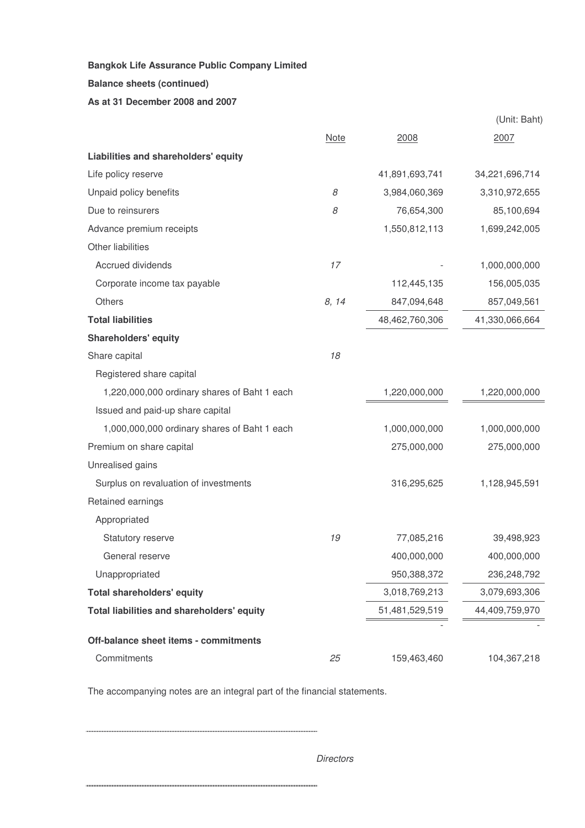#### **Balance sheets (continued)**

#### **As at 31 December 2008 and 2007**

|                                              |             |                | (Unit: Baht)   |
|----------------------------------------------|-------------|----------------|----------------|
|                                              | <b>Note</b> | 2008           | 2007           |
| Liabilities and shareholders' equity         |             |                |                |
| Life policy reserve                          |             | 41,891,693,741 | 34,221,696,714 |
| Unpaid policy benefits                       | 8           | 3,984,060,369  | 3,310,972,655  |
| Due to reinsurers                            | 8           | 76,654,300     | 85,100,694     |
| Advance premium receipts                     |             | 1,550,812,113  | 1,699,242,005  |
| Other liabilities                            |             |                |                |
| <b>Accrued dividends</b>                     | 17          |                | 1,000,000,000  |
| Corporate income tax payable                 |             | 112,445,135    | 156,005,035    |
| Others                                       | 8, 14       | 847,094,648    | 857,049,561    |
| <b>Total liabilities</b>                     |             | 48,462,760,306 | 41,330,066,664 |
| <b>Shareholders' equity</b>                  |             |                |                |
| Share capital                                | 18          |                |                |
| Registered share capital                     |             |                |                |
| 1,220,000,000 ordinary shares of Baht 1 each |             | 1,220,000,000  | 1,220,000,000  |
| Issued and paid-up share capital             |             |                |                |
| 1,000,000,000 ordinary shares of Baht 1 each |             | 1,000,000,000  | 1,000,000,000  |
| Premium on share capital                     |             | 275,000,000    | 275,000,000    |
| Unrealised gains                             |             |                |                |
| Surplus on revaluation of investments        |             | 316,295,625    | 1,128,945,591  |
| Retained earnings                            |             |                |                |
| Appropriated                                 |             |                |                |
| Statutory reserve                            | 19          | 77,085,216     | 39,498,923     |
| General reserve                              |             | 400,000,000    | 400,000,000    |
| Unappropriated                               |             | 950,388,372    | 236,248,792    |
| <b>Total shareholders' equity</b>            |             | 3,018,769,213  | 3,079,693,306  |
| Total liabilities and shareholders' equity   |             | 51,481,529,519 | 44,409,759,970 |
|                                              |             |                |                |
| Off-balance sheet items - commitments        |             |                |                |
| Commitments                                  | 25          | 159,463,460    | 104,367,218    |

The accompanying notes are an integral part of the financial statements.

*Directors*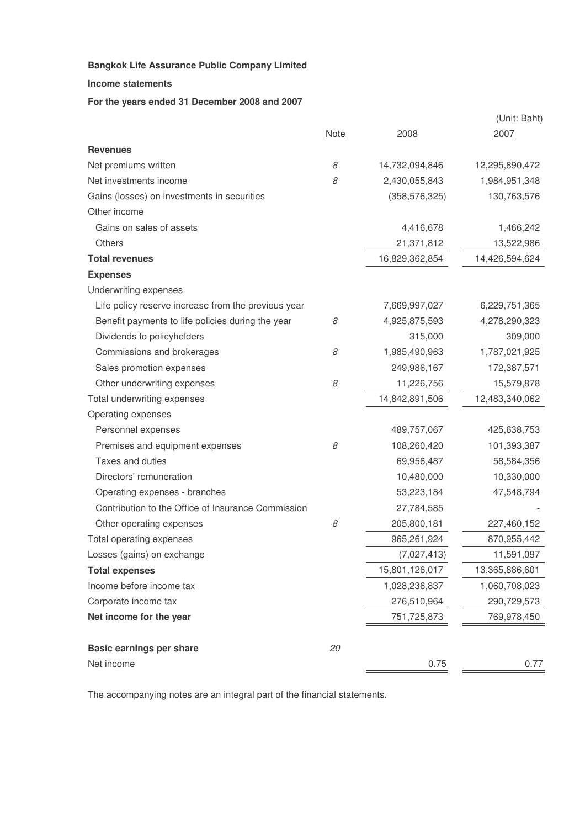**Income statements**

#### **For the years ended 31 December 2008 and 2007**

|                                                     |             |                 | (Unit: Baht)   |
|-----------------------------------------------------|-------------|-----------------|----------------|
|                                                     | <b>Note</b> | 2008            | 2007           |
| <b>Revenues</b>                                     |             |                 |                |
| Net premiums written                                | 8           | 14,732,094,846  | 12,295,890,472 |
| Net investments income                              | 8           | 2,430,055,843   | 1,984,951,348  |
| Gains (losses) on investments in securities         |             | (358, 576, 325) | 130,763,576    |
| Other income                                        |             |                 |                |
| Gains on sales of assets                            |             | 4,416,678       | 1,466,242      |
| <b>Others</b>                                       |             | 21,371,812      | 13,522,986     |
| <b>Total revenues</b>                               |             | 16,829,362,854  | 14,426,594,624 |
| <b>Expenses</b>                                     |             |                 |                |
| Underwriting expenses                               |             |                 |                |
| Life policy reserve increase from the previous year |             | 7,669,997,027   | 6,229,751,365  |
| Benefit payments to life policies during the year   | 8           | 4,925,875,593   | 4,278,290,323  |
| Dividends to policyholders                          |             | 315,000         | 309,000        |
| Commissions and brokerages                          | 8           | 1,985,490,963   | 1,787,021,925  |
| Sales promotion expenses                            |             | 249,986,167     | 172,387,571    |
| Other underwriting expenses                         | 8           | 11,226,756      | 15,579,878     |
| Total underwriting expenses                         |             | 14,842,891,506  | 12,483,340,062 |
| Operating expenses                                  |             |                 |                |
| Personnel expenses                                  |             | 489,757,067     | 425,638,753    |
| Premises and equipment expenses                     | 8           | 108,260,420     | 101,393,387    |
| Taxes and duties                                    |             | 69,956,487      | 58,584,356     |
| Directors' remuneration                             |             | 10,480,000      | 10,330,000     |
| Operating expenses - branches                       |             | 53,223,184      | 47,548,794     |
| Contribution to the Office of Insurance Commission  |             | 27,784,585      |                |
| Other operating expenses                            | 8           | 205,800,181     | 227,460,152    |
| Total operating expenses                            |             | 965,261,924     | 870,955,442    |
| Losses (gains) on exchange                          |             | (7,027,413)     | 11,591,097     |
| <b>Total expenses</b>                               |             | 15,801,126,017  | 13,365,886,601 |
| Income before income tax                            |             | 1,028,236,837   | 1,060,708,023  |
| Corporate income tax                                |             | 276,510,964     | 290,729,573    |
| Net income for the year                             |             | 751,725,873     | 769,978,450    |
| <b>Basic earnings per share</b>                     | 20          |                 |                |
| Net income                                          |             | 0.75            | 0.77           |

The accompanying notes are an integral part of the financial statements.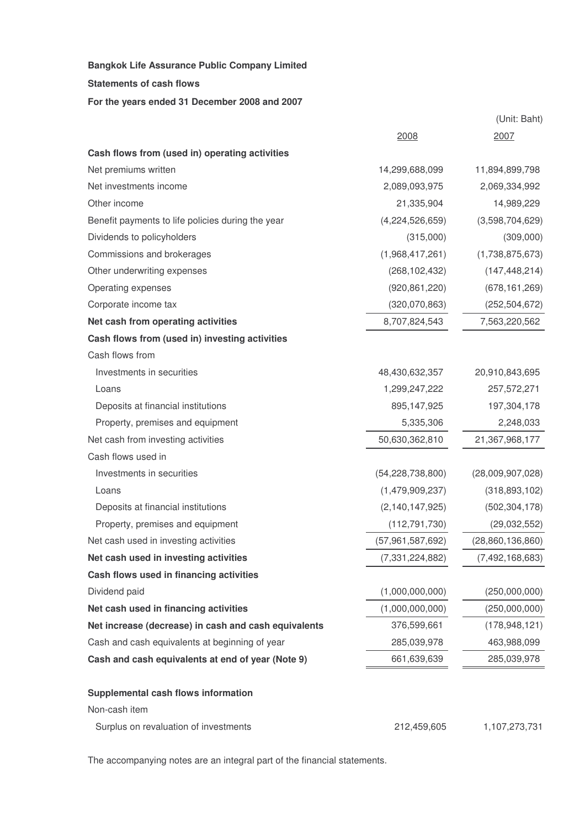**Statements of cash flows**

**For the years ended 31 December 2008 and 2007**

|                                                      |                     | (Unit: Baht)       |
|------------------------------------------------------|---------------------|--------------------|
|                                                      | 2008                | 2007               |
| Cash flows from (used in) operating activities       |                     |                    |
| Net premiums written                                 | 14,299,688,099      | 11,894,899,798     |
| Net investments income                               | 2,089,093,975       | 2,069,334,992      |
| Other income                                         | 21,335,904          | 14,989,229         |
| Benefit payments to life policies during the year    | (4,224,526,659)     | (3,598,704,629)    |
| Dividends to policyholders                           | (315,000)           | (309,000)          |
| Commissions and brokerages                           | (1,968,417,261)     | (1,738,875,673)    |
| Other underwriting expenses                          | (268, 102, 432)     | (147, 448, 214)    |
| Operating expenses                                   | (920, 861, 220)     | (678, 161, 269)    |
| Corporate income tax                                 | (320,070,863)       | (252, 504, 672)    |
| Net cash from operating activities                   | 8,707,824,543       | 7,563,220,562      |
| Cash flows from (used in) investing activities       |                     |                    |
| Cash flows from                                      |                     |                    |
| Investments in securities                            | 48,430,632,357      | 20,910,843,695     |
| Loans                                                | 1,299,247,222       | 257,572,271        |
| Deposits at financial institutions                   | 895,147,925         | 197,304,178        |
| Property, premises and equipment                     | 5,335,306           | 2,248,033          |
| Net cash from investing activities                   | 50,630,362,810      | 21,367,968,177     |
| Cash flows used in                                   |                     |                    |
| Investments in securities                            | (54, 228, 738, 800) | (28,009,907,028)   |
| Loans                                                | (1,479,909,237)     | (318, 893, 102)    |
| Deposits at financial institutions                   | (2, 140, 147, 925)  | (502, 304, 178)    |
| Property, premises and equipment                     | (112, 791, 730)     | (29,032,552)       |
| Net cash used in investing activities                | (57,961,587,692)    | (28,860,136,860)   |
| Net cash used in investing activities                | (7, 331, 224, 882)  | (7, 492, 168, 683) |
| Cash flows used in financing activities              |                     |                    |
| Dividend paid                                        | (1,000,000,000)     | (250,000,000)      |
| Net cash used in financing activities                | (1,000,000,000)     | (250,000,000)      |
| Net increase (decrease) in cash and cash equivalents | 376,599,661         | (178, 948, 121)    |
| Cash and cash equivalents at beginning of year       | 285,039,978         | 463,988,099        |
| Cash and cash equivalents at end of year (Note 9)    | 661,639,639         | 285,039,978        |
| Supplemental cash flows information                  |                     |                    |
| Non-cash item                                        |                     |                    |
| Surplus on revaluation of investments                | 212,459,605         | 1,107,273,731      |

The accompanying notes are an integral part of the financial statements.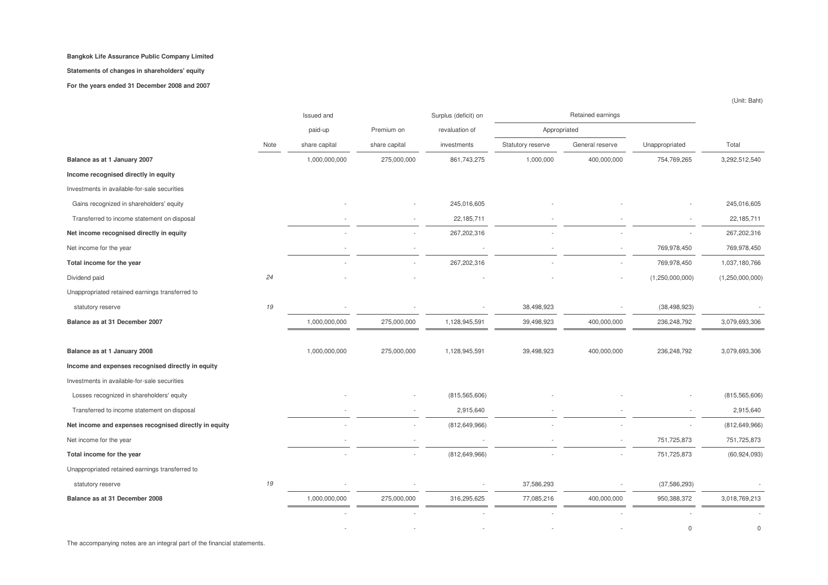#### **Statements of changes in shareholders' equity**

**For the years ended 31 December 2008 and 2007**

|                                                       |      | Issued and    |               | Surplus (deficit) on |                   | Retained earnings |                 |                 |
|-------------------------------------------------------|------|---------------|---------------|----------------------|-------------------|-------------------|-----------------|-----------------|
|                                                       |      | paid-up       | Premium on    | revaluation of       | Appropriated      |                   |                 |                 |
|                                                       | Note | share capital | share capital | investments          | Statutory reserve | General reserve   | Unappropriated  | Total           |
| Balance as at 1 January 2007                          |      | 1,000,000,000 | 275,000,000   | 861,743,275          | 1,000,000         | 400,000,000       | 754,769,265     | 3,292,512,540   |
| Income recognised directly in equity                  |      |               |               |                      |                   |                   |                 |                 |
| Investments in available-for-sale securities          |      |               |               |                      |                   |                   |                 |                 |
| Gains recognized in shareholders' equity              |      |               |               | 245,016,605          |                   |                   |                 | 245,016,605     |
| Transferred to income statement on disposal           |      |               |               | 22,185,711           |                   |                   |                 | 22,185,711      |
| Net income recognised directly in equity              |      |               |               | 267,202,316          |                   |                   |                 | 267,202,316     |
| Net income for the year                               |      |               |               |                      |                   |                   | 769,978,450     | 769,978,450     |
| Total income for the year                             |      |               |               | 267,202,316          |                   |                   | 769,978,450     | 1,037,180,766   |
| Dividend paid                                         | 24   |               |               |                      |                   |                   | (1,250,000,000) | (1,250,000,000) |
| Unappropriated retained earnings transferred to       |      |               |               |                      |                   |                   |                 |                 |
| statutory reserve                                     | 19   |               |               |                      | 38,498,923        |                   | (38, 498, 923)  |                 |
| Balance as at 31 December 2007                        |      | 1,000,000,000 | 275,000,000   | 1,128,945,591        | 39,498,923        | 400,000,000       | 236,248,792     | 3,079,693,306   |
| Balance as at 1 January 2008                          |      | 1,000,000,000 | 275,000,000   | 1,128,945,591        | 39,498,923        | 400,000,000       | 236,248,792     | 3,079,693,306   |
| Income and expenses recognised directly in equity     |      |               |               |                      |                   |                   |                 |                 |
| Investments in available-for-sale securities          |      |               |               |                      |                   |                   |                 |                 |
| Losses recognized in shareholders' equity             |      |               |               | (815, 565, 606)      |                   |                   |                 | (815, 565, 606) |
| Transferred to income statement on disposal           |      |               |               | 2,915,640            |                   |                   |                 | 2,915,640       |
| Net income and expenses recognised directly in equity |      |               |               | (812, 649, 966)      |                   |                   |                 | (812, 649, 966) |
| Net income for the year                               |      |               |               |                      |                   |                   | 751,725,873     | 751,725,873     |
| Total income for the year                             |      |               |               | (812, 649, 966)      |                   |                   | 751,725,873     | (60, 924, 093)  |
| Unappropriated retained earnings transferred to       |      |               |               |                      |                   |                   |                 |                 |
| statutory reserve                                     | 19   |               |               |                      | 37,586,293        |                   | (37, 586, 293)  |                 |
| Balance as at 31 December 2008                        |      | 1,000,000,000 | 275,000,000   | 316,295,625          | 77,085,216        | 400,000,000       | 950,388,372     | 3,018,769,213   |
|                                                       |      |               |               |                      |                   |                   |                 |                 |
|                                                       |      |               |               |                      |                   |                   | $\mathbf 0$     | $\Omega$        |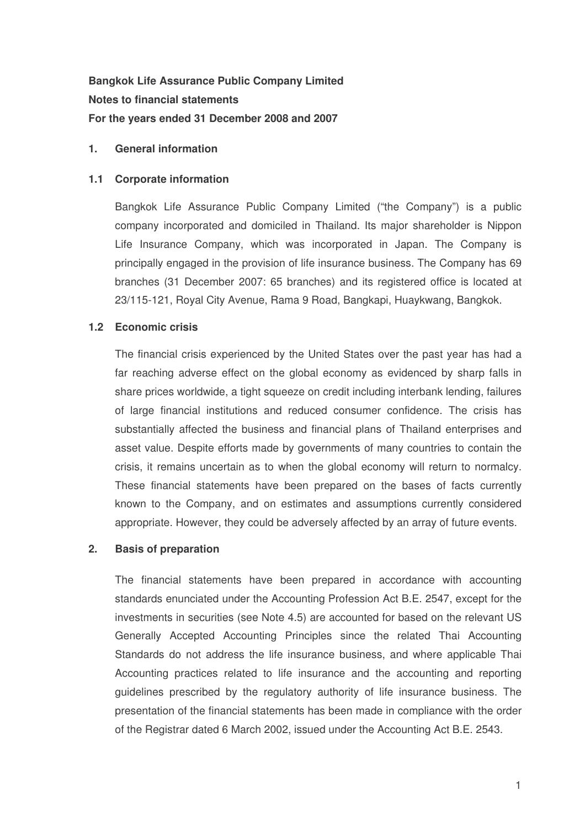**Bangkok Life Assurance Public Company Limited Notes to financial statements For the years ended 31 December 2008 and 2007**

## **1. General information**

## **1.1 Corporate information**

Bangkok Life Assurance Public Company Limited ("the Company") is a public company incorporated and domiciled in Thailand. Its major shareholder is Nippon Life Insurance Company, which was incorporated in Japan. The Company is principally engaged in the provision of life insurance business. The Company has 69 branches (31 December 2007: 65 branches) and its registered office is located at 23/115-121, Royal City Avenue, Rama 9 Road, Bangkapi, Huaykwang, Bangkok.

## **1.2 Economic crisis**

The financial crisis experienced by the United States over the past year has had a far reaching adverse effect on the global economy as evidenced by sharp falls in share prices worldwide, a tight squeeze on credit including interbank lending, failures of large financial institutions and reduced consumer confidence. The crisis has substantially affected the business and financial plans of Thailand enterprises and asset value. Despite efforts made by governments of many countries to contain the crisis, it remains uncertain as to when the global economy will return to normalcy. These financial statements have been prepared on the bases of facts currently known to the Company, and on estimates and assumptions currently considered appropriate. However, they could be adversely affected by an array of future events.

## **2. Basis of preparation**

The financial statements have been prepared in accordance with accounting standards enunciated under the Accounting Profession Act B.E. 2547, except for the investments in securities (see Note 4.5) are accounted for based on the relevant US Generally Accepted Accounting Principles since the related Thai Accounting Standards do not address the life insurance business, and where applicable Thai Accounting practices related to life insurance and the accounting and reporting guidelines prescribed by the regulatory authority of life insurance business. The presentation of the financial statements has been made in compliance with the order of the Registrar dated 6 March 2002, issued under the Accounting Act B.E. 2543.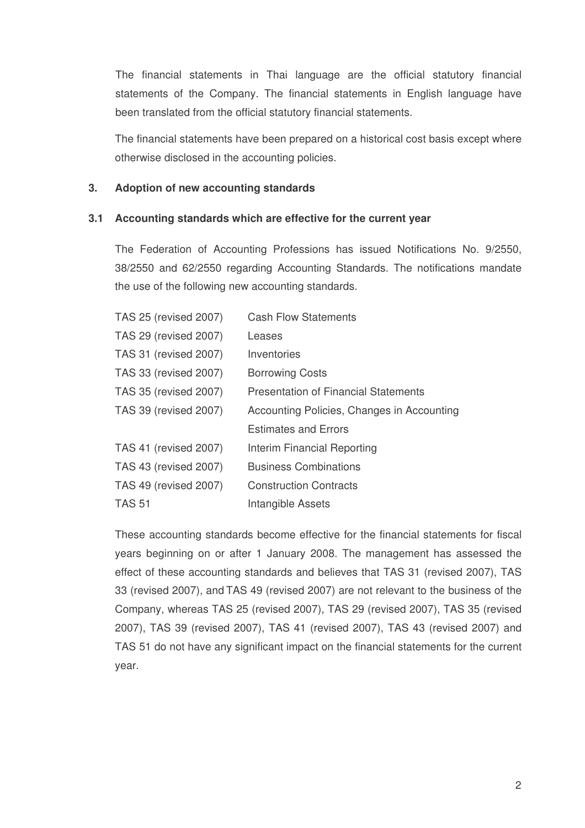The financial statements in Thai language are the official statutory financial statements of the Company. The financial statements in English language have been translated from the official statutory financial statements.

The financial statements have been prepared on a historical cost basis except where otherwise disclosed in the accounting policies.

## **3. Adoption of new accounting standards**

## **3.1 Accounting standards which are effective for the current year**

The Federation of Accounting Professions has issued Notifications No. 9/2550, 38/2550 and 62/2550 regarding Accounting Standards. The notifications mandate the use of the following new accounting standards.

| TAS 25 (revised 2007)        | <b>Cash Flow Statements</b>                 |
|------------------------------|---------------------------------------------|
| TAS 29 (revised 2007)        | Leases                                      |
| <b>TAS 31 (revised 2007)</b> | Inventories                                 |
| TAS 33 (revised 2007)        | <b>Borrowing Costs</b>                      |
| TAS 35 (revised 2007)        | <b>Presentation of Financial Statements</b> |
| TAS 39 (revised 2007)        | Accounting Policies, Changes in Accounting  |
|                              | <b>Estimates and Errors</b>                 |
| <b>TAS 41 (revised 2007)</b> | Interim Financial Reporting                 |
| TAS 43 (revised 2007)        | <b>Business Combinations</b>                |
| <b>TAS 49 (revised 2007)</b> | <b>Construction Contracts</b>               |
| <b>TAS 51</b>                | Intangible Assets                           |

These accounting standards become effective for the financial statements for fiscal years beginning on or after 1 January 2008. The management has assessed the effect of these accounting standards and believes that TAS 31 (revised 2007), TAS 33 (revised 2007), and TAS 49 (revised 2007) are not relevant to the business of the Company, whereas TAS 25 (revised 2007), TAS 29 (revised 2007), TAS 35 (revised 2007), TAS 39 (revised 2007), TAS 41 (revised 2007), TAS 43 (revised 2007) and TAS 51 do not have any significant impact on the financial statements for the current year.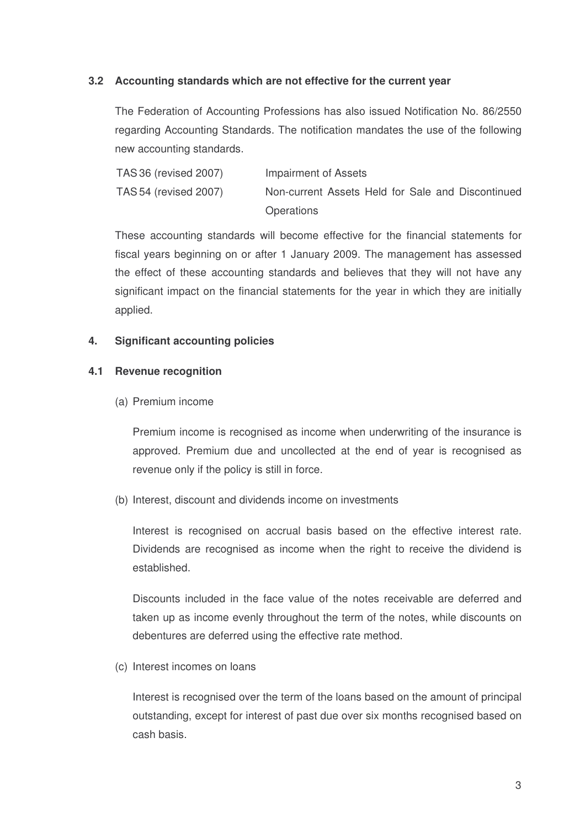## **3.2 Accounting standards which are not effective for the current year**

The Federation of Accounting Professions has also issued Notification No. 86/2550 regarding Accounting Standards. The notification mandates the use of the following new accounting standards.

| TAS 36 (revised 2007) | Impairment of Assets                              |  |  |  |  |
|-----------------------|---------------------------------------------------|--|--|--|--|
| TAS 54 (revised 2007) | Non-current Assets Held for Sale and Discontinued |  |  |  |  |
|                       | <b>Operations</b>                                 |  |  |  |  |

These accounting standards will become effective for the financial statements for fiscal years beginning on or after 1 January 2009. The management has assessed the effect of these accounting standards and believes that they will not have any significant impact on the financial statements for the year in which they are initially applied.

#### **4. Significant accounting policies**

#### **4.1 Revenue recognition**

(a) Premium income

Premium income is recognised as income when underwriting of the insurance is approved. Premium due and uncollected at the end of year is recognised as revenue only if the policy is still in force.

(b) Interest, discount and dividends income on investments

Interest is recognised on accrual basis based on the effective interest rate. Dividends are recognised as income when the right to receive the dividend is established.

Discounts included in the face value of the notes receivable are deferred and taken up as income evenly throughout the term of the notes, while discounts on debentures are deferred using the effective rate method.

(c) Interest incomes on loans

Interest is recognised over the term of the loans based on the amount of principal outstanding, except for interest of past due over six months recognised based on cash basis.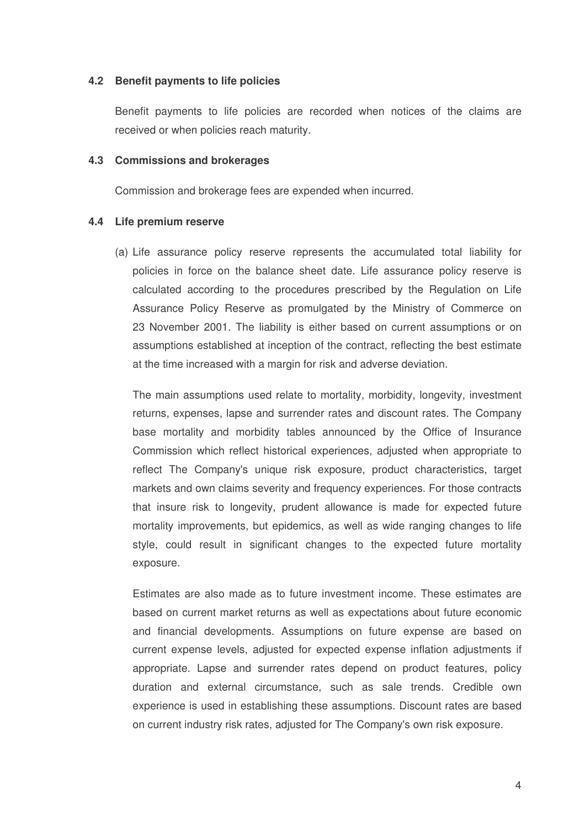#### **4.2 Benefit payments to life policies**

Benefit payments to life policies are recorded when notices of the claims are received or when policies reach maturity.

#### **4.3 Commissions and brokerages**

Commission and brokerage fees are expended when incurred.

#### **4.4 Life premium reserve**

(a) Life assurance policy reserve represents the accumulated total liability for policies in force on the balance sheet date. Life assurance policy reserve is calculated according to the procedures prescribed by the Regulation on Life Assurance Policy Reserve as promulgated by the Ministry of Commerce on 23 November 2001. The liability is either based on current assumptions or on assumptions established at inception of the contract, reflecting the best estimate at the time increased with a margin for risk and adverse deviation.

The main assumptions used relate to mortality, morbidity, longevity, investment returns, expenses, lapse and surrender rates and discount rates. The Company base mortality and morbidity tables announced by the Office of Insurance Commission which reflect historical experiences, adjusted when appropriate to reflect The Company's unique risk exposure, product characteristics, target markets and own claims severity and frequency experiences. For those contracts that insure risk to longevity, prudent allowance is made for expected future mortality improvements, but epidemics, as well as wide ranging changes to life style, could result in significant changes to the expected future mortality exposure.

Estimates are also made as to future investment income. These estimates are based on current market returns as well as expectations about future economic and financial developments. Assumptions on future expense are based on current expense levels, adjusted for expected expense inflation adjustments if appropriate. Lapse and surrender rates depend on product features, policy duration and external circumstance, such as sale trends. Credible own experience is used in establishing these assumptions. Discount rates are based on current industry risk rates, adjusted for The Company's own risk exposure.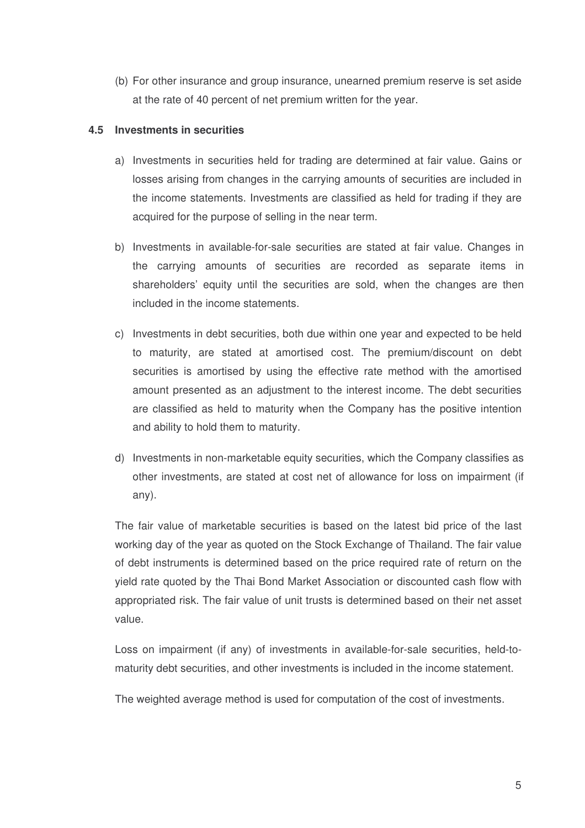(b) For other insurance and group insurance, unearned premium reserve is set aside at the rate of 40 percent of net premium written for the year.

## **4.5 Investments in securities**

- a) Investments in securities held for trading are determined at fair value. Gains or losses arising from changes in the carrying amounts of securities are included in the income statements. Investments are classified as held for trading if they are acquired for the purpose of selling in the near term.
- b) Investments in available-for-sale securities are stated at fair value. Changes in the carrying amounts of securities are recorded as separate items in shareholders' equity until the securities are sold, when the changes are then included in the income statements.
- c) Investments in debt securities, both due within one year and expected to be held to maturity, are stated at amortised cost. The premium/discount on debt securities is amortised by using the effective rate method with the amortised amount presented as an adjustment to the interest income. The debt securities are classified as held to maturity when the Company has the positive intention and ability to hold them to maturity.
- d) Investments in non-marketable equity securities, which the Company classifies as other investments, are stated at cost net of allowance for loss on impairment (if any).

The fair value of marketable securities is based on the latest bid price of the last working day of the year as quoted on the Stock Exchange of Thailand. The fair value of debt instruments is determined based on the price required rate of return on the yield rate quoted by the Thai Bond Market Association or discounted cash flow with appropriated risk. The fair value of unit trusts is determined based on their net asset value.

Loss on impairment (if any) of investments in available-for-sale securities, held-tomaturity debt securities, and other investments is included in the income statement.

The weighted average method is used for computation of the cost of investments.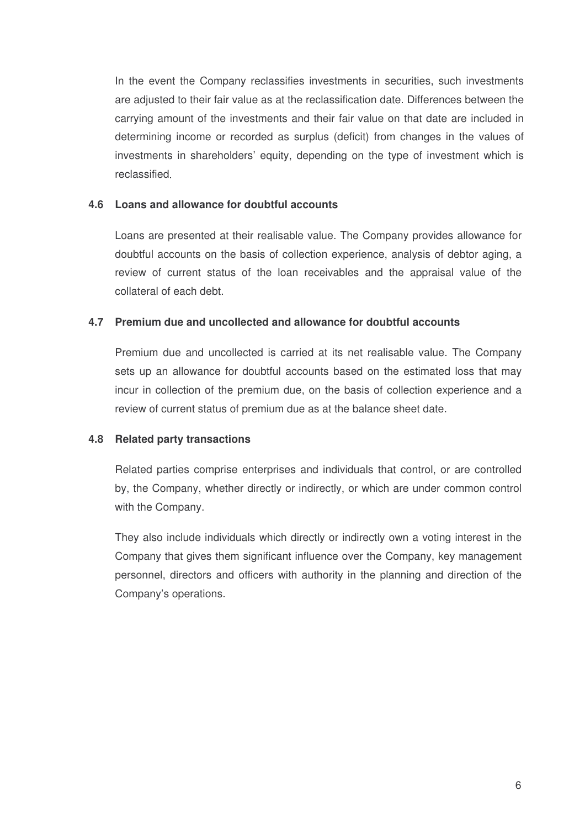In the event the Company reclassifies investments in securities, such investments are adjusted to their fair value as at the reclassification date Differences between the carrying amount of the investments and their fair value on that date are included in determining income or recorded as surplus (deficit) from changes in the values of investments in shareholders' equity, depending on the type of investment which is reclassified

## **4.6 Loans and allowance for doubtful accounts**

Loans are presented at their realisable value. The Company provides allowance for doubtful accounts on the basis of collection experience, analysis of debtor aging, a review of current status of the loan receivables and the appraisal value of the collateral of each debt.

## **4.7 Premium due and uncollected and allowance for doubtful accounts**

Premium due and uncollected is carried at its net realisable value. The Company sets up an allowance for doubtful accounts based on the estimated loss that may incur in collection of the premium due, on the basis of collection experience and a review of current status of premium due as at the balance sheet date.

## **4.8 Related party transactions**

Related parties comprise enterprises and individuals that control, or are controlled by, the Company, whether directly or indirectly, or which are under common control with the Company.

They also include individuals which directly or indirectly own a voting interest in the Company that gives them significant influence over the Company, key management personnel, directors and officers with authority in the planning and direction of the Company's operations.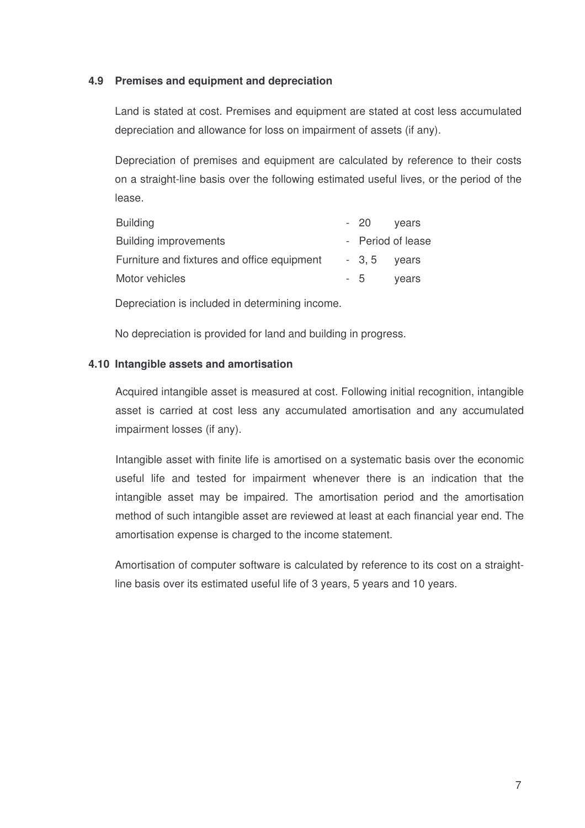## **4.9 Premises and equipment and depreciation**

Land is stated at cost. Premises and equipment are stated at cost less accumulated depreciation and allowance for loss on impairment of assets (if any).

Depreciation of premises and equipment are calculated by reference to their costs on a straight-line basis over the following estimated useful lives, or the period of the lease.

| <b>Building</b>                             | - 20         | vears             |
|---------------------------------------------|--------------|-------------------|
| <b>Building improvements</b>                |              | - Period of lease |
| Furniture and fixtures and office equipment | $-3.5$ years |                   |
| Motor vehicles                              | - 5          | vears             |

Depreciation is included in determining income.

No depreciation is provided for land and building in progress.

## **4.10 Intangible assets and amortisation**

Acquired intangible asset is measured at cost. Following initial recognition, intangible asset is carried at cost less any accumulated amortisation and any accumulated impairment losses (if any).

Intangible asset with finite life is amortised on a systematic basis over the economic useful life and tested for impairment whenever there is an indication that the intangible asset may be impaired. The amortisation period and the amortisation method of such intangible asset are reviewed at least at each financial year end. The amortisation expense is charged to the income statement.

Amortisation of computer software is calculated by reference to its cost on a straightline basis over its estimated useful life of 3 years, 5 years and 10 years.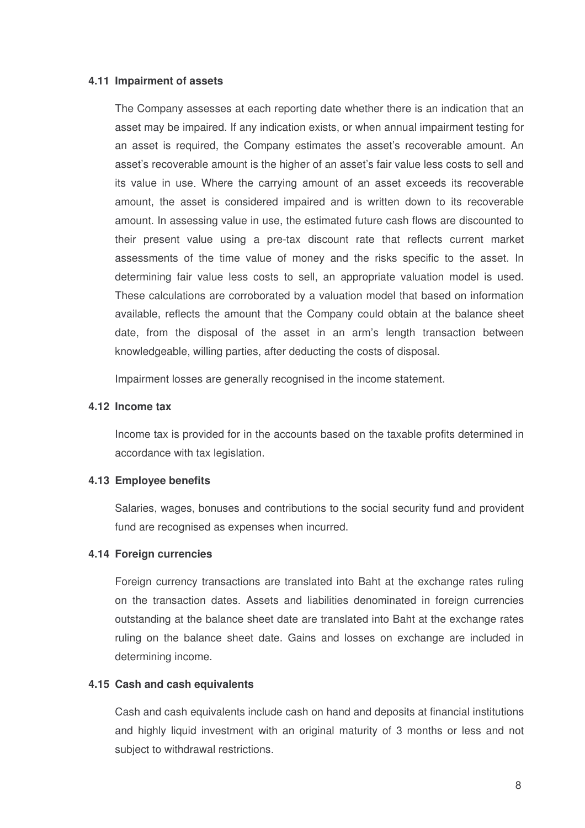#### **4.11 Impairment of assets**

The Company assesses at each reporting date whether there is an indication that an asset may be impaired. If any indication exists, or when annual impairment testing for an asset is required, the Company estimates the asset's recoverable amount. An asset's recoverable amount is the higher of an asset's fair value less costs to sell and its value in use Where the carrying amount of an asset exceeds its recoverable amount, the asset is considered impaired and is written down to its recoverable amount. In assessing value in use, the estimated future cash flows are discounted to their present value using a pre-tax discount rate that reflects current market assessments of the time value of money and the risks specific to the asset. In determining fair value less costs to sell, an appropriate valuation model is used. These calculations are corroborated by a valuation model that based on information available, reflects the amount that the Company could obtain at the balance sheet date, from the disposal of the asset in an arm's length transaction between knowledgeable, willing parties, after deducting the costs of disposal.

Impairment losses are generally recognised in the income statement.

#### **4.12 Income tax**

Income tax is provided for in the accounts based on the taxable profits determined in accordance with tax legislation.

#### **4.13 Employee benefits**

Salaries, wages, bonuses and contributions to the social security fund and provident fund are recognised as expenses when incurred.

#### **4.14 Foreign currencies**

Foreign currency transactions are translated into Baht at the exchange rates ruling on the transaction dates. Assets and liabilities denominated in foreign currencies outstanding at the balance sheet date are translated into Baht at the exchange rates ruling on the balance sheet date. Gains and losses on exchange are included in determining income.

#### **4.15 Cash and cash equivalents**

Cash and cash equivalents include cash on hand and deposits at financial institutions and highly liquid investment with an original maturity of 3 months or less and not subject to withdrawal restrictions.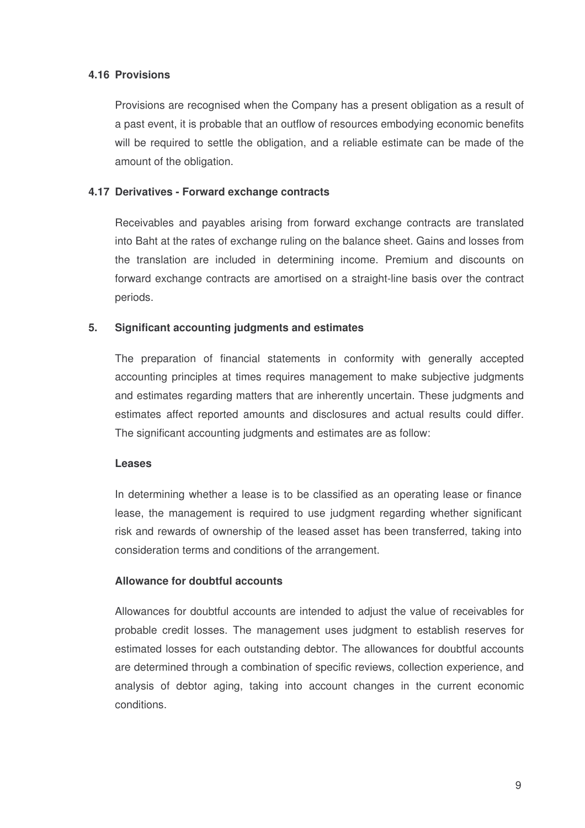## **4.16 Provisions**

Provisions are recognised when the Company has a present obligation as a result of a past event, it is probable that an outflow of resources embodying economic benefits will be required to settle the obligation, and a reliable estimate can be made of the amount of the obligation.

## **4.17 Derivatives - Forward exchange contracts**

Receivables and payables arising from forward exchange contracts are translated into Baht at the rates of exchange ruling on the balance sheet. Gains and losses from the translation are included in determining income. Premium and discounts on forward exchange contracts are amortised on a straight-line basis over the contract periods.

## **5. Significant accounting judgments and estimates**

The preparation of financial statements in conformity with generally accepted accounting principles at times requires management to make subjective judgments and estimates regarding matters that are inherently uncertain. These judgments and estimates affect reported amounts and disclosures and actual results could differ. The significant accounting judgments and estimates are as follow:

#### **Leases**

In determining whether a lease is to be classified as an operating lease or finance lease, the management is required to use judgment regarding whether significant risk and rewards of ownership of the leased asset has been transferred, taking into consideration terms and conditions of the arrangement.

## **Allowance for doubtful accounts**

Allowances for doubtful accounts are intended to adjust the value of receivables for probable credit losses. The management uses judgment to establish reserves for estimated losses for each outstanding debtor. The allowances for doubtful accounts are determined through a combination of specific reviews, collection experience, and analysis of debtor aging, taking into account changes in the current economic conditions.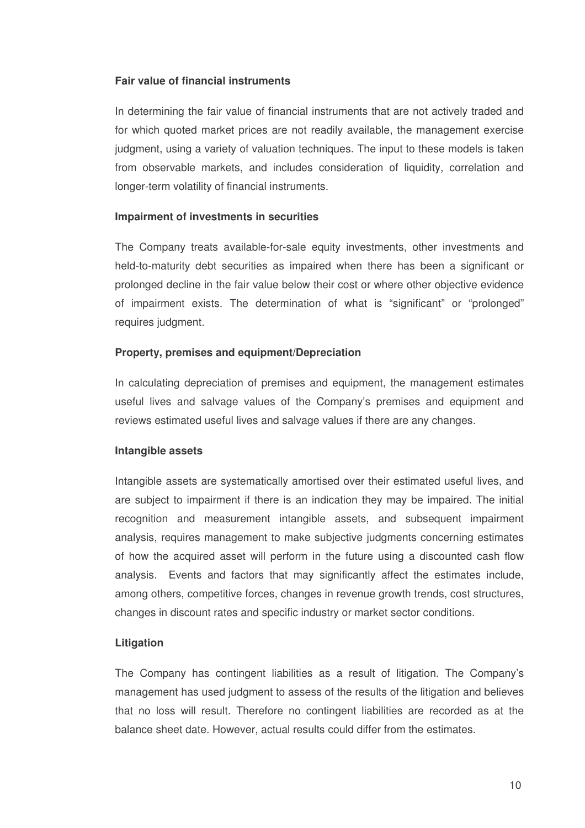## **Fair value of financial instruments**

In determining the fair value of financial instruments that are not actively traded and for which quoted market prices are not readily available, the management exercise judgment, using a variety of valuation techniques. The input to these models is taken from observable markets, and includes consideration of liquidity, correlation and longer-term volatility of financial instruments.

#### **Impairment of investments in securities**

The Company treats available-for-sale equity investments, other investments and held-to-maturity debt securities as impaired when there has been a significant or prolonged decline in the fair value below their cost or where other objective evidence of impairment exists. The determination of what is "significant" or "prolonged" requires judgment.

#### **Property, premises and equipment/Depreciation**

In calculating depreciation of premises and equipment, the management estimates useful lives and salvage values of the Company's premises and equipment and reviews estimated useful lives and salvage values if there are any changes.

#### **Intangible assets**

Intangible assets are systematically amortised over their estimated useful lives, and are subject to impairment if there is an indication they may be impaired. The initial recognition and measurement intangible assets, and subsequent impairment analysis, requires management to make subjective judgments concerning estimates of how the acquired asset will perform in the future using a discounted cash flow analysis. Events and factors that may significantly affect the estimates include, among others, competitive forces, changes in revenue growth trends, cost structures, changes in discount rates and specific industry or market sector conditions.

#### **Litigation**

The Company has contingent liabilities as a result of litigation. The Company's management has used judgment to assess of the results of the litigation and believes that no loss will result. Therefore no contingent liabilities are recorded as at the balance sheet date. However, actual results could differ from the estimates.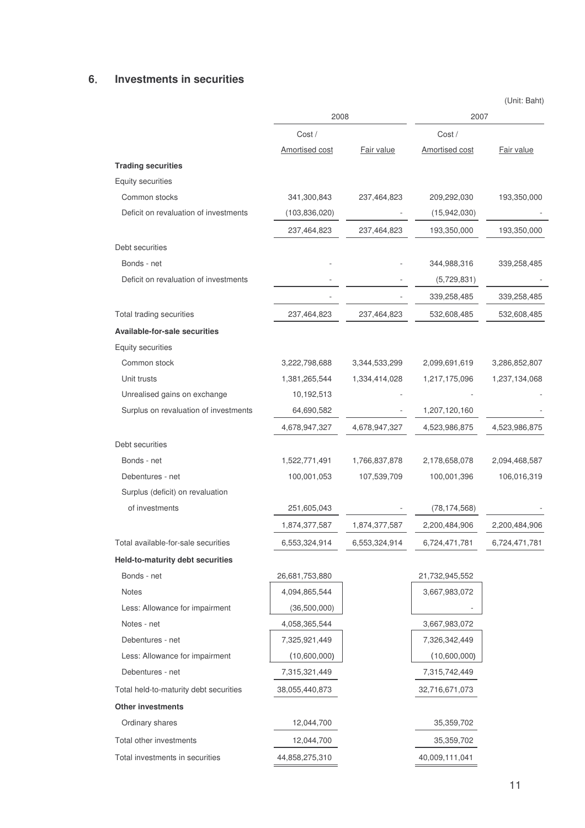## **6 Investments in securities**

|                                        |                       |               | (Unit: Baht)   |               |  |  |
|----------------------------------------|-----------------------|---------------|----------------|---------------|--|--|
|                                        | 2008                  |               |                | 2007          |  |  |
|                                        | Cost/                 |               | Cost/          |               |  |  |
|                                        | <b>Amortised cost</b> | Fair value    | Amortised cost | Fair value    |  |  |
| <b>Trading securities</b>              |                       |               |                |               |  |  |
| Equity securities                      |                       |               |                |               |  |  |
| Common stocks                          | 341,300,843           | 237,464,823   | 209,292,030    | 193,350,000   |  |  |
| Deficit on revaluation of investments  | (103, 836, 020)       |               | (15,942,030)   |               |  |  |
|                                        | 237,464,823           | 237,464,823   | 193,350,000    | 193,350,000   |  |  |
| Debt securities                        |                       |               |                |               |  |  |
| Bonds - net                            |                       |               | 344,988,316    | 339,258,485   |  |  |
| Deficit on revaluation of investments  |                       |               | (5,729,831)    |               |  |  |
|                                        |                       |               | 339,258,485    | 339,258,485   |  |  |
| Total trading securities               | 237,464,823           | 237,464,823   | 532,608,485    | 532,608,485   |  |  |
| Available-for-sale securities          |                       |               |                |               |  |  |
| Equity securities                      |                       |               |                |               |  |  |
| Common stock                           | 3,222,798,688         | 3,344,533,299 | 2,099,691,619  | 3,286,852,807 |  |  |
| Unit trusts                            | 1,381,265,544         | 1,334,414,028 | 1,217,175,096  | 1,237,134,068 |  |  |
| Unrealised gains on exchange           | 10,192,513            |               |                |               |  |  |
| Surplus on revaluation of investments  | 64,690,582            |               | 1,207,120,160  |               |  |  |
|                                        | 4,678,947,327         | 4,678,947,327 | 4,523,986,875  | 4,523,986,875 |  |  |
| Debt securities                        |                       |               |                |               |  |  |
| Bonds - net                            | 1,522,771,491         | 1,766,837,878 | 2,178,658,078  | 2,094,468,587 |  |  |
| Debentures - net                       | 100,001,053           | 107,539,709   | 100,001,396    | 106,016,319   |  |  |
| Surplus (deficit) on revaluation       |                       |               |                |               |  |  |
| of investments                         | 251,605,043           |               | (78, 174, 568) |               |  |  |
|                                        | 1,874,377,587         | 1,874,377,587 | 2,200,484,906  | 2,200,484,906 |  |  |
| Total available-for-sale securities    | 6,553,324,914         | 6,553,324,914 | 6,724,471,781  | 6,724,471,781 |  |  |
| Held-to-maturity debt securities       |                       |               |                |               |  |  |
| Bonds - net                            | 26,681,753,880        |               | 21,732,945,552 |               |  |  |
| Notes                                  | 4,094,865,544         |               | 3,667,983,072  |               |  |  |
| Less: Allowance for impairment         | (36,500,000)          |               |                |               |  |  |
| Notes - net                            | 4,058,365,544         |               | 3,667,983,072  |               |  |  |
| Debentures - net                       | 7,325,921,449         |               | 7,326,342,449  |               |  |  |
| Less: Allowance for impairment         | (10,600,000)          |               | (10,600,000)   |               |  |  |
| Debentures - net                       | 7,315,321,449         |               | 7,315,742,449  |               |  |  |
| Total held-to-maturity debt securities | 38,055,440,873        |               | 32,716,671,073 |               |  |  |
| Other investments                      |                       |               |                |               |  |  |
| Ordinary shares                        | 12,044,700            |               | 35,359,702     |               |  |  |
| Total other investments                | 12,044,700            |               | 35,359,702     |               |  |  |

Total investments in securities 44,858,275,310 40,009,111,041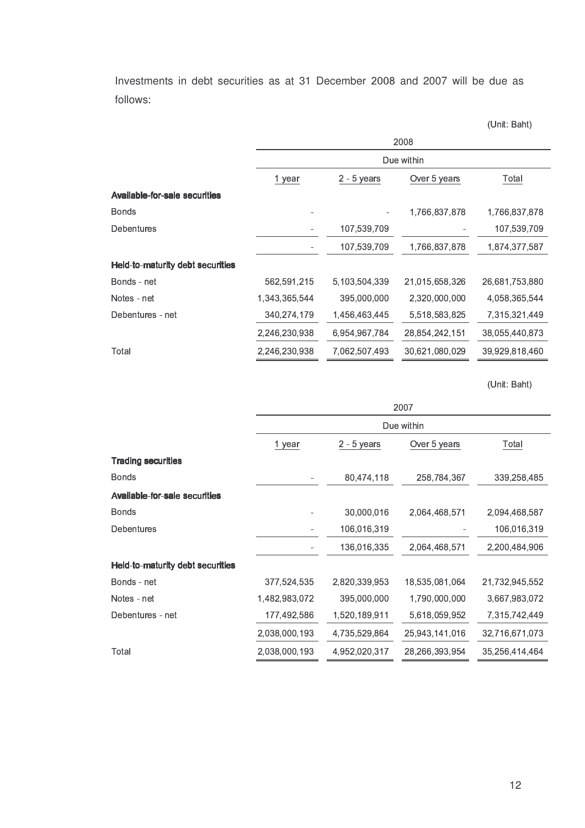Investments in debt securities as at 31 December 2008 and 2007 will be due as follows

- 
 

|                                      | 2008          |               |                |                |  |  |  |  |
|--------------------------------------|---------------|---------------|----------------|----------------|--|--|--|--|
|                                      |               | Due within    |                |                |  |  |  |  |
|                                      | 1 year        | $2 - 5$ years | Over 5 years   | Total          |  |  |  |  |
| <b>Available-for-sale securities</b> |               |               |                |                |  |  |  |  |
| <b>Bonds</b>                         |               | ۰             | 1,766,837,878  | 1,766,837,878  |  |  |  |  |
| <b>Debentures</b>                    |               | 107,539,709   |                | 107,539,709    |  |  |  |  |
|                                      |               | 107,539,709   | 1,766,837,878  | 1,874,377,587  |  |  |  |  |
| Held-to-maturity debt securities     |               |               |                |                |  |  |  |  |
| Bonds - net                          | 562,591,215   | 5,103,504,339 | 21,015,658,326 | 26,681,753,880 |  |  |  |  |
| Notes - net                          | 1,343,365,544 | 395,000,000   | 2,320,000,000  | 4,058,365,544  |  |  |  |  |
| Debentures - net                     | 340,274,179   | 1,456,463,445 | 5,518,583,825  | 7,315,321,449  |  |  |  |  |
|                                      | 2,246,230,938 | 6,954,967,784 | 28,854,242,151 | 38,055,440,873 |  |  |  |  |
| Total                                | 2,246,230,938 | 7,062,507,493 | 30,621,080,029 | 39,929,818,460 |  |  |  |  |

. . . . . .

|               | 2007          |                |                |  |  |  |  |
|---------------|---------------|----------------|----------------|--|--|--|--|
|               | Due within    |                |                |  |  |  |  |
| 1 year        | $2 - 5$ years | Over 5 years   | Total          |  |  |  |  |
|               |               |                |                |  |  |  |  |
|               | 80,474,118    | 258,784,367    | 339,258,485    |  |  |  |  |
|               |               |                |                |  |  |  |  |
|               | 30,000,016    | 2,064,468,571  | 2,094,468,587  |  |  |  |  |
|               | 106,016,319   |                | 106,016,319    |  |  |  |  |
|               | 136,016,335   | 2,064,468,571  | 2,200,484,906  |  |  |  |  |
|               |               |                |                |  |  |  |  |
| 377,524,535   | 2,820,339,953 | 18,535,081,064 | 21,732,945,552 |  |  |  |  |
| 1,482,983,072 | 395,000,000   | 1,790,000,000  | 3,667,983,072  |  |  |  |  |
| 177,492,586   | 1,520,189,911 | 5,618,059,952  | 7,315,742,449  |  |  |  |  |
| 2,038,000,193 | 4,735,529,864 | 25,943,141,016 | 32,716,671,073 |  |  |  |  |
| 2,038,000,193 | 4,952,020,317 | 28,266,393,954 | 35,256,414,464 |  |  |  |  |
|               |               |                |                |  |  |  |  |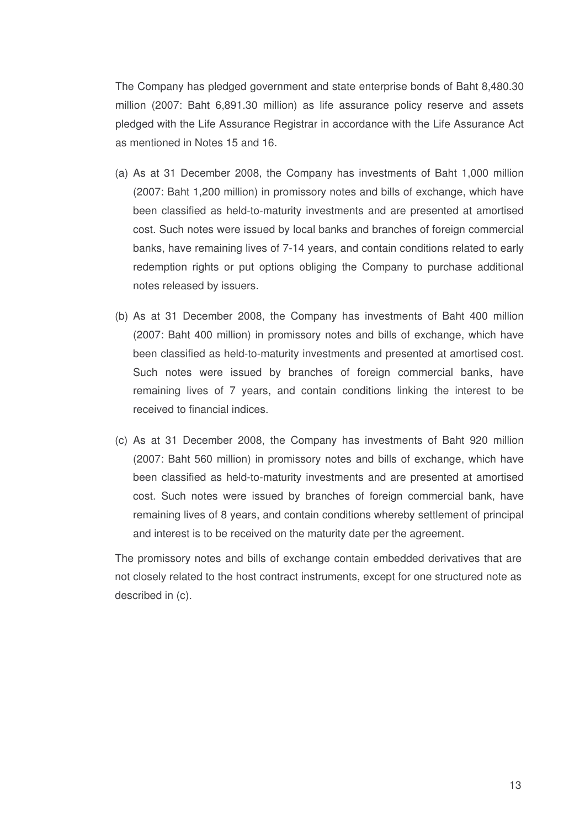The Company has pledged government and state enterprise bonds of Baht 8,480.30 million (2007: Baht 6,891.30 million) as life assurance policy reserve and assets pledged with the Life Assurance Registrar in accordance with the Life Assurance Act as mentioned in Notes 15 and 16.

- (a) As at 31 December 2008, the Company has investments of Baht 1,000 million (2007: Baht 1,200 million) in promissory notes and bills of exchange, which have been classified as held-to-maturity investments and are presented at amortised cost. Such notes were issued by local banks and branches of foreign commercial banks, have remaining lives of 7-14 years, and contain conditions related to early redemption rights or put options obliging the Company to purchase additional notes released by issuers.
- (b) As at 31 December 2008, the Company has investments of Baht 400 million (2007: Baht 400 million) in promissory notes and bills of exchange, which have been classified as held-to-maturity investments and presented at amortised cost. Such notes were issued by branches of foreign commercial banks, have remaining lives of 7 years, and contain conditions linking the interest to be received to financial indices.
- (c) As at 31 December 2008, the Company has investments of Baht 920 million (2007: Baht 560 million) in promissory notes and bills of exchange, which have been classified as held-to-maturity investments and are presented at amortised cost. Such notes were issued by branches of foreign commercial bank, have remaining lives of 8 years, and contain conditions whereby settlement of principal and interest is to be received on the maturity date per the agreement.

The promissory notes and bills of exchange contain embedded derivatives that are not closely related to the host contract instruments, except for one structured note as described in (c).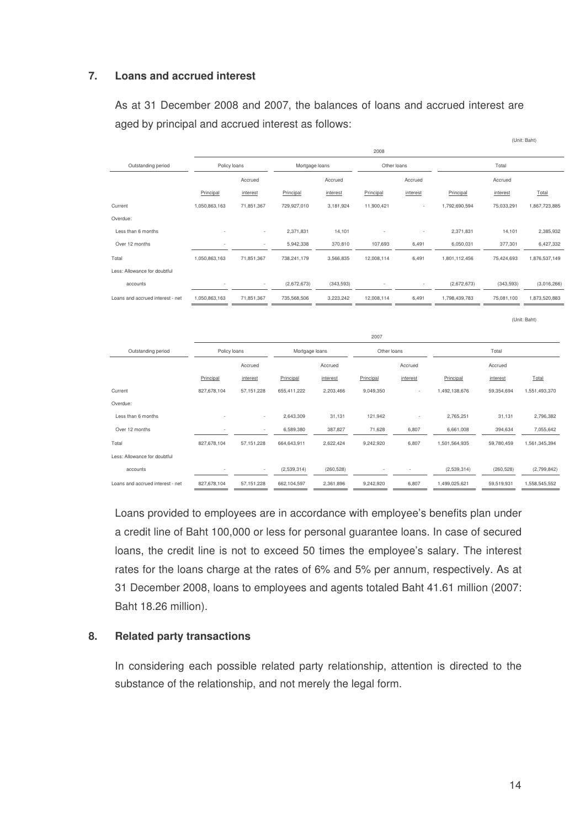## **7. Loans and accrued interest**

As at 31 December 2008 and 2007, the balances of loans and accrued interest are aged by principal and accrued interest as follows:

|                                  |               |              |                |                | 2008        |             |               |            |               |
|----------------------------------|---------------|--------------|----------------|----------------|-------------|-------------|---------------|------------|---------------|
| Outstanding period               |               | Policy loans |                | Mortgage loans |             | Other loans | Total         |            |               |
|                                  |               | Accrued      |                | Accrued        |             | Accrued     |               | Accrued    |               |
|                                  | Principal     | interest     | Principal      | interest       | Principal   | interest    | Principal     | interest   | Total         |
| Current                          | 1,050,863,163 | 71,851,367   | 729,927,010    | 3,181,924      | 11,900,421  |             | 1,792,690,594 | 75,033,291 | 1,867,723,885 |
| Overdue:                         |               |              |                |                |             |             |               |            |               |
| Less than 6 months               |               |              | 2,371,831      | 14,101         |             |             | 2,371,831     | 14,101     | 2,385,932     |
| Over 12 months                   |               |              | 5,942,338      | 370,810        | 107,693     | 6,491       | 6,050,031     | 377,301    | 6,427,332     |
| Total                            | 1,050,863,163 | 71,851,367   | 738,241,179    | 3,566,835      | 12,008,114  | 6,491       | 1,801,112,456 | 75,424,693 | 1,876,537,149 |
| Less: Allowance for doubtful     |               |              |                |                |             |             |               |            |               |
| accounts                         |               |              | (2,672,673)    | (343, 593)     |             |             | (2,672,673)   | (343, 593) | (3,016,266)   |
| Loans and accrued interest - net | 1,050,863,163 | 71,851,367   | 735,568,506    | 3,223,242      | 12,008,114  | 6,491       | 1,798,439,783 | 75,081,100 | 1,873,520,883 |
|                                  |               |              |                |                |             |             |               |            | (Unit: Baht)  |
|                                  |               |              |                |                | 2007        |             |               |            |               |
| Outstanding period               | Policy loans  |              | Mortgage loans |                | Other loans |             |               | Total      |               |
|                                  |               | Accrued      |                | Accrued        |             | Accrued     |               | Accrued    |               |
|                                  | Principal     | interest     | Principal      | interest       | Principal   | interest    | Principal     | interest   | Total         |
| Current                          | 827,678,104   | 57, 151, 228 | 655,411,222    | 2,203,466      | 9,049,350   |             | 1,492,138,676 | 59,354,694 | 1,551,493,370 |
| Overdue:                         |               |              |                |                |             |             |               |            |               |
| Less than 6 months               |               |              | 2,643,309      | 31,131         | 121,942     |             | 2,765,251     | 31,131     | 2,796,382     |
| Over 12 months                   |               |              | 6,589,380      | 387,827        | 71,628      | 6,807       | 6,661,008     | 394,634    | 7,055,642     |
| Total                            | 827,678,104   | 57, 151, 228 | 664,643,911    | 2,622,424      | 9,242,920   | 6,807       | 1,501,564,935 | 59,780,459 | 1,561,345,394 |
| Less: Allowance for doubtful     |               |              |                |                |             |             |               |            |               |
| accounts                         |               |              | (2,539,314)    | (260, 528)     |             |             | (2,539,314)   | (260, 528) | (2,799,842)   |
| Loans and accrued interest - net | 827,678,104   | 57, 151, 228 | 662,104,597    | 2,361,896      | 9,242,920   | 6,807       | 1,499,025,621 | 59,519,931 | 1,558,545,552 |

Loans provided to employees are in accordance with employee's benefits plan under a credit line of Baht 100,000 or less for personal guarantee loans. In case of secured loans, the credit line is not to exceed 50 times the employee's salary. The interest rates for the loans charge at the rates of 6% and 5% per annum, respectively. As at 31 December 2008, loans to employees and agents totaled Baht 41.61 million (2007: Baht 18.26 million).

#### **8. Related party transactions**

In considering each possible related party relationship, attention is directed to the substance of the relationship, and not merely the legal form.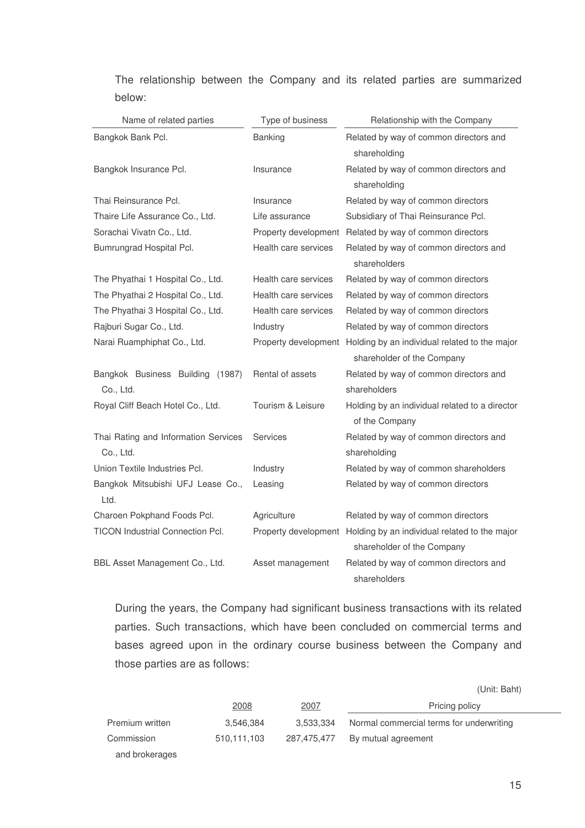The relationship between the Company and its related parties are summarized below:

| Name of related parties                 | Type of business     | Relationship with the Company                                      |
|-----------------------------------------|----------------------|--------------------------------------------------------------------|
| Bangkok Bank Pcl.                       | Banking              | Related by way of common directors and                             |
|                                         |                      | shareholding                                                       |
| Bangkok Insurance Pcl.                  | Insurance            | Related by way of common directors and                             |
|                                         |                      | shareholding                                                       |
| Thai Reinsurance Pcl.                   | Insurance            | Related by way of common directors                                 |
| Thaire Life Assurance Co., Ltd.         | Life assurance       | Subsidiary of Thai Reinsurance Pcl.                                |
| Sorachai Vivatn Co., Ltd.               |                      | Property development Related by way of common directors            |
| Bumrungrad Hospital Pcl.                | Health care services | Related by way of common directors and                             |
|                                         |                      | shareholders                                                       |
| The Phyathai 1 Hospital Co., Ltd.       | Health care services | Related by way of common directors                                 |
| The Phyathai 2 Hospital Co., Ltd.       | Health care services | Related by way of common directors                                 |
| The Phyathai 3 Hospital Co., Ltd.       | Health care services | Related by way of common directors                                 |
| Rajburi Sugar Co., Ltd.                 | Industry             | Related by way of common directors                                 |
| Narai Ruamphiphat Co., Ltd.             |                      | Property development Holding by an individual related to the major |
|                                         |                      | shareholder of the Company                                         |
| Bangkok Business Building (1987)        | Rental of assets     | Related by way of common directors and                             |
| Co., Ltd.                               |                      | shareholders                                                       |
| Royal Cliff Beach Hotel Co., Ltd.       | Tourism & Leisure    | Holding by an individual related to a director                     |
|                                         |                      | of the Company                                                     |
| Thai Rating and Information Services    | <b>Services</b>      | Related by way of common directors and                             |
| Co., Ltd.                               |                      | shareholding                                                       |
| Union Textile Industries Pcl.           | Industry             | Related by way of common shareholders                              |
| Bangkok Mitsubishi UFJ Lease Co.,       | Leasing              | Related by way of common directors                                 |
| Ltd.                                    |                      |                                                                    |
| Charoen Pokphand Foods Pcl.             | Agriculture          | Related by way of common directors                                 |
| <b>TICON Industrial Connection Pcl.</b> |                      | Property development Holding by an individual related to the major |
|                                         |                      | shareholder of the Company                                         |
| BBL Asset Management Co., Ltd.          | Asset management     | Related by way of common directors and                             |
|                                         |                      | shareholders                                                       |

During the years, the Company had significant business transactions with its related parties. Such transactions, which have been concluded on commercial terms and bases agreed upon in the ordinary course business between the Company and those parties are as follows:

|                 |             |             | .                                        |
|-----------------|-------------|-------------|------------------------------------------|
|                 | <u>2008</u> | <u>2007</u> | Pricing policy                           |
| Premium written | 3.546.384   | 3.533.334   | Normal commercial terms for underwriting |
| Commission      | 510,111,103 | 287.475.477 | By mutual agreement                      |
| and brokerages  |             |             |                                          |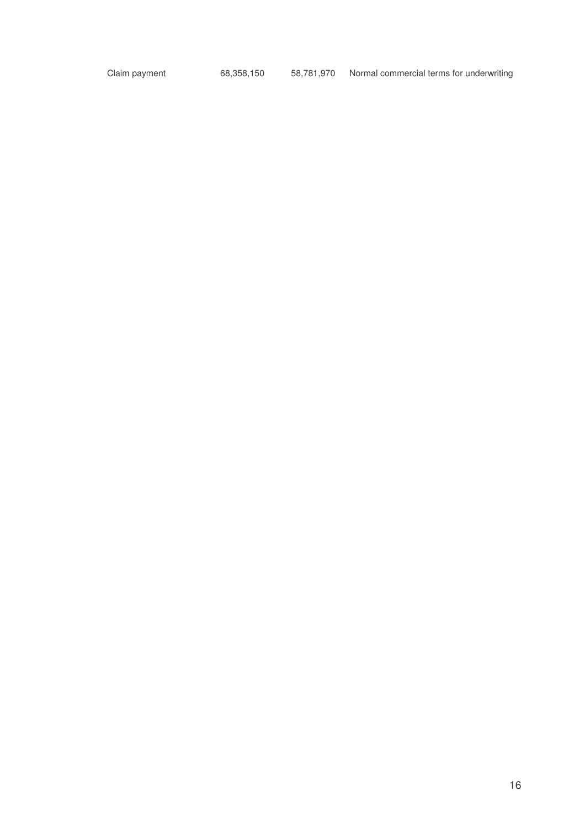Claim payment 68,358,150 58,781,970 Normal commercial terms for underwriting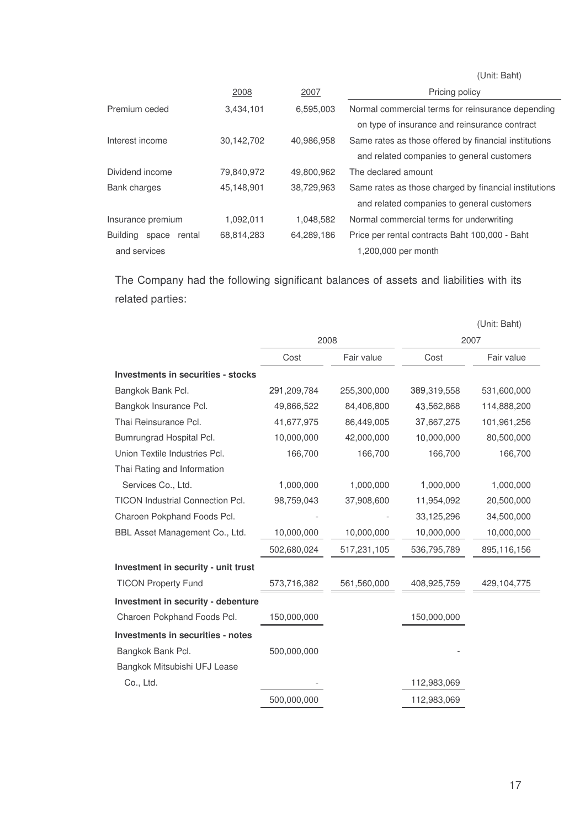(Unit: Baht)

| 2008       | 2007       | Pricing policy                                        |
|------------|------------|-------------------------------------------------------|
| 3,434,101  | 6,595,003  | Normal commercial terms for reinsurance depending     |
|            |            | on type of insurance and reinsurance contract         |
| 30,142,702 | 40,986,958 | Same rates as those offered by financial institutions |
|            |            | and related companies to general customers            |
| 79,840,972 | 49,800,962 | The declared amount                                   |
| 45,148,901 | 38,729,963 | Same rates as those charged by financial institutions |
|            |            | and related companies to general customers            |
| 1,092,011  | 1,048,582  | Normal commercial terms for underwriting              |
| 68,814,283 | 64,289,186 | Price per rental contracts Baht 100,000 - Baht        |
|            |            | 1,200,000 per month                                   |
|            |            |                                                       |

The Company had the following significant balances of assets and liabilities with its related parties:

|                                           |             |             |             | (Unit: Baht) |
|-------------------------------------------|-------------|-------------|-------------|--------------|
|                                           | 2008        |             |             | 2007         |
|                                           | Cost        | Fair value  | Cost        | Fair value   |
| <b>Investments in securities - stocks</b> |             |             |             |              |
| Bangkok Bank Pcl.                         | 291,209,784 | 255,300,000 | 389,319,558 | 531,600,000  |
| Bangkok Insurance Pcl.                    | 49,866,522  | 84,406,800  | 43,562,868  | 114,888,200  |
| Thai Reinsurance Pcl.                     | 41,677,975  | 86,449,005  | 37,667,275  | 101,961,256  |
| Bumrungrad Hospital Pcl.                  | 10,000,000  | 42,000,000  | 10,000,000  | 80,500,000   |
| Union Textile Industries Pcl.             | 166,700     | 166,700     | 166,700     | 166,700      |
| Thai Rating and Information               |             |             |             |              |
| Services Co., Ltd.                        | 1,000,000   | 1,000,000   | 1,000,000   | 1,000,000    |
| <b>TICON Industrial Connection Pcl.</b>   | 98,759,043  | 37,908,600  | 11,954,092  | 20,500,000   |
| Charoen Pokphand Foods Pcl.               |             |             | 33,125,296  | 34,500,000   |
| BBL Asset Management Co., Ltd.            | 10,000,000  | 10,000,000  | 10,000,000  | 10,000,000   |
|                                           | 502,680,024 | 517,231,105 | 536,795,789 | 895,116,156  |
| Investment in security - unit trust       |             |             |             |              |
| <b>TICON Property Fund</b>                | 573,716,382 | 561,560,000 | 408,925,759 | 429,104,775  |
| Investment in security - debenture        |             |             |             |              |
| Charoen Pokphand Foods Pcl.               | 150,000,000 |             | 150,000,000 |              |
| <b>Investments in securities - notes</b>  |             |             |             |              |
| Bangkok Bank Pcl.                         | 500,000,000 |             |             |              |
| Bangkok Mitsubishi UFJ Lease              |             |             |             |              |
| Co., Ltd.                                 |             |             | 112,983,069 |              |
|                                           | 500,000,000 |             | 112,983,069 |              |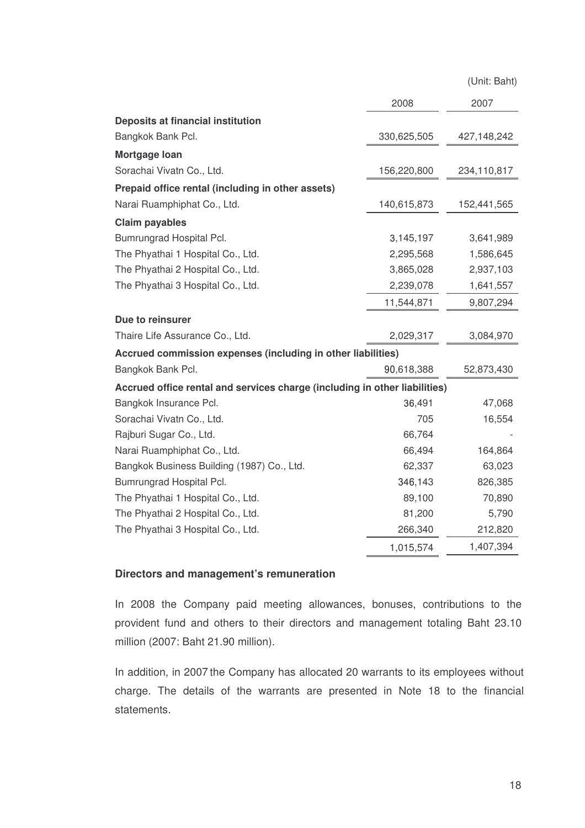(Unit: Baht)

|                                                                            | 2008        | 2007        |
|----------------------------------------------------------------------------|-------------|-------------|
| Deposits at financial institution                                          |             |             |
| Bangkok Bank Pcl.                                                          | 330,625,505 | 427,148,242 |
| Mortgage Ioan                                                              |             |             |
| Sorachai Vivatn Co., Ltd.                                                  | 156,220,800 | 234,110,817 |
| Prepaid office rental (including in other assets)                          |             |             |
| Narai Ruamphiphat Co., Ltd.                                                | 140,615,873 | 152,441,565 |
| <b>Claim payables</b>                                                      |             |             |
| Bumrungrad Hospital Pcl.                                                   | 3,145,197   | 3,641,989   |
| The Phyathai 1 Hospital Co., Ltd.                                          | 2,295,568   | 1,586,645   |
| The Phyathai 2 Hospital Co., Ltd.                                          | 3,865,028   | 2,937,103   |
| The Phyathai 3 Hospital Co., Ltd.                                          | 2,239,078   | 1,641,557   |
|                                                                            | 11,544,871  | 9,807,294   |
| Due to reinsurer                                                           |             |             |
| Thaire Life Assurance Co., Ltd.                                            | 2,029,317   | 3,084,970   |
| Accrued commission expenses (including in other liabilities)               |             |             |
| Bangkok Bank Pcl.                                                          | 90,618,388  | 52,873,430  |
| Accrued office rental and services charge (including in other liabilities) |             |             |
| Bangkok Insurance Pcl.                                                     | 36,491      | 47,068      |
| Sorachai Vivatn Co., Ltd.                                                  | 705         | 16,554      |
| Rajburi Sugar Co., Ltd.                                                    | 66,764      |             |
| Narai Ruamphiphat Co., Ltd.                                                | 66,494      | 164,864     |
| Bangkok Business Building (1987) Co., Ltd.                                 | 62,337      | 63,023      |
| Bumrungrad Hospital Pcl.                                                   | 346,143     | 826,385     |
| The Phyathai 1 Hospital Co., Ltd.                                          | 89,100      | 70,890      |
| The Phyathai 2 Hospital Co., Ltd.                                          | 81,200      | 5,790       |
| The Phyathai 3 Hospital Co., Ltd.                                          | 266,340     | 212,820     |
|                                                                            | 1,015,574   | 1,407,394   |

#### **Directors and management's remuneration**

In 2008 the Company paid meeting allowances, bonuses, contributions to the provident fund and others to their directors and management totaling Baht 23.10 million (2007: Baht 21.90 million).

In addition, in 2007 the Company has allocated 20 warrants to its employees without charge. The details of the warrants are presented in Note 18 to the financial statements.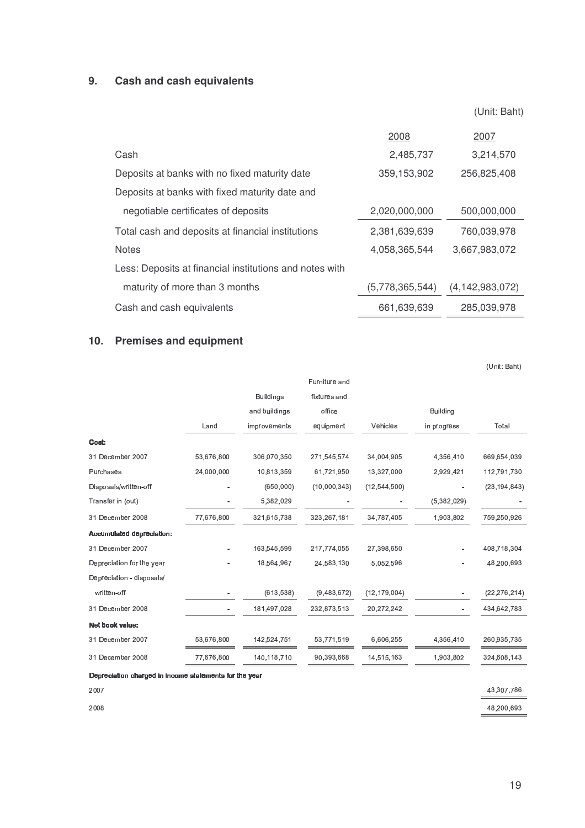## **9. Cash and cash equivalents**

|                                                         |                 | (Unit: Baht)       |
|---------------------------------------------------------|-----------------|--------------------|
|                                                         | 2008            | 2007               |
| Cash                                                    | 2,485,737       | 3,214,570          |
| Deposits at banks with no fixed maturity date           | 359,153,902     | 256,825,408        |
| Deposits at banks with fixed maturity date and          |                 |                    |
| negotiable certificates of deposits                     | 2,020,000,000   | 500,000,000        |
| Total cash and deposits at financial institutions       | 2,381,639,639   | 760,039,978        |
| <b>Notes</b>                                            | 4,058,365,544   | 3,667,983,072      |
| Less: Deposits at financial institutions and notes with |                 |                    |
| maturity of more than 3 months                          | (5,778,365,544) | (4, 142, 983, 072) |
| Cash and cash equivalents                               | 661.639.639     | 285.039.978        |

## **10. Premises and equipment**

| fixtures and                                                         |
|----------------------------------------------------------------------|
| office<br><b>Building</b>                                            |
| Vehicles<br>Total<br>equipment<br>in progress                        |
|                                                                      |
| 271,545,574<br>4,356,410<br>669,654,039<br>34,004,905                |
| 61,721,950<br>13,327,000<br>112,791,730<br>2,929,421                 |
| (10,000,343)<br>(23, 194, 843)<br>(12, 544, 500)                     |
| (5,382,029)                                                          |
| 323,267,181<br>34,787,405<br>1,903,802<br>759,250,926                |
|                                                                      |
| 217,774,055<br>27.398.650<br>408.718.304<br>$\overline{\phantom{a}}$ |
| 24,583,130<br>5,052,596<br>48,200,693                                |
|                                                                      |
| (9,483,672)<br>(12, 179, 004)<br>(22, 276, 214)                      |
| 232,873,513<br>20,272,242<br>434,642,783<br>$\overline{\phantom{a}}$ |
|                                                                      |
| 53,771,519<br>6,606,255<br>4,356,410<br>260,935,735                  |
| 90,393,668<br>14,515,163<br>1,903,802<br>324,608,143                 |
|                                                                      |

mmmmXXXXddddWWWWXXXXa3L a3L a3L a3LQ@N Q@N Q@NLLLL`@K-a3S@Q `@K-a3S@Q `@K-a3S@QWWWW[[[[XXXXY-L Y-L Y-LY-LKKL KK LLLK@a3`@c K@a3`@c K@a3`@cXXXX \3N \3N \3NQ@N Q@N Q@NXXXXccccXXXXK@N K@N K@N K@N\G] \G] \G]````WWWW NNNNSSSSX-3X X-3X X-3XQQQQWWWW

| 2007 | 43,307,786 |
|------|------------|
| 2008 | 48.200.693 |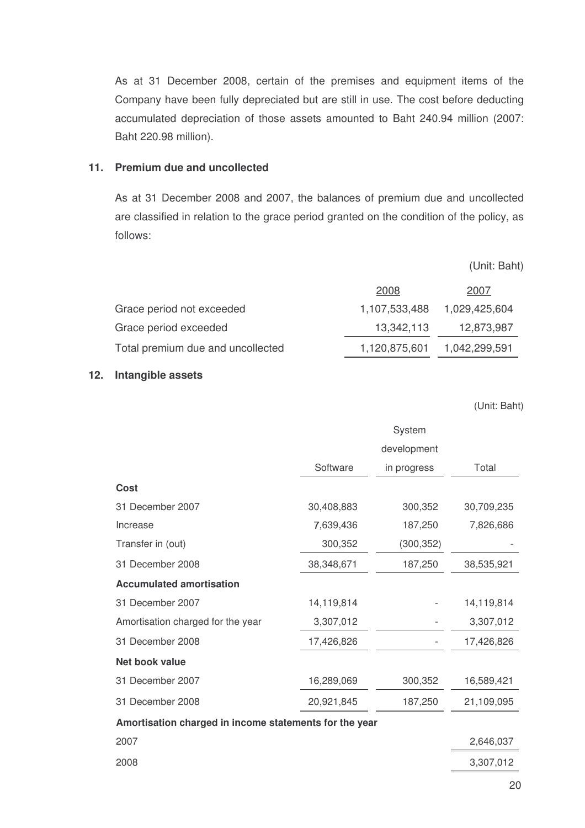As at 31 December 2008, certain of the premises and equipment items of the Company have been fully depreciated but are still in use. The cost before deducting accumulated depreciation of those assets amounted to Baht 240.94 million (2007: Baht 220.98 million).

## **11. Premium due and uncollected**

As at 31 December 2008 and 2007, the balances of premium due and uncollected are classified in relation to the grace period granted on the condition of the policy, as follows:

(Unit: Baht)

|                                   | 2008          | 2007          |
|-----------------------------------|---------------|---------------|
| Grace period not exceeded         | 1,107,533,488 | 1,029,425,604 |
| Grace period exceeded             | 13,342,113    | 12,873,987    |
| Total premium due and uncollected | 1,120,875,601 | 1,042,299,591 |

#### **12. Intangible assets**

|                                                        |            | System      |            |
|--------------------------------------------------------|------------|-------------|------------|
|                                                        |            | development |            |
|                                                        | Software   | in progress | Total      |
| <b>Cost</b>                                            |            |             |            |
| 31 December 2007                                       | 30,408,883 | 300,352     | 30,709,235 |
| Increase                                               | 7,639,436  | 187,250     | 7,826,686  |
| Transfer in (out)                                      | 300,352    | (300, 352)  |            |
| 31 December 2008                                       | 38,348,671 | 187,250     | 38,535,921 |
| <b>Accumulated amortisation</b>                        |            |             |            |
| 31 December 2007                                       | 14,119,814 |             | 14,119,814 |
| Amortisation charged for the year                      | 3,307,012  |             | 3,307,012  |
| 31 December 2008                                       | 17,426,826 |             | 17,426,826 |
| Net book value                                         |            |             |            |
| 31 December 2007                                       | 16,289,069 | 300,352     | 16,589,421 |
| 31 December 2008                                       | 20,921,845 | 187,250     | 21,109,095 |
| Amortisation charged in income statements for the year |            |             |            |
| 2007                                                   |            |             | 2,646,037  |
| 2008                                                   |            |             | 3,307,012  |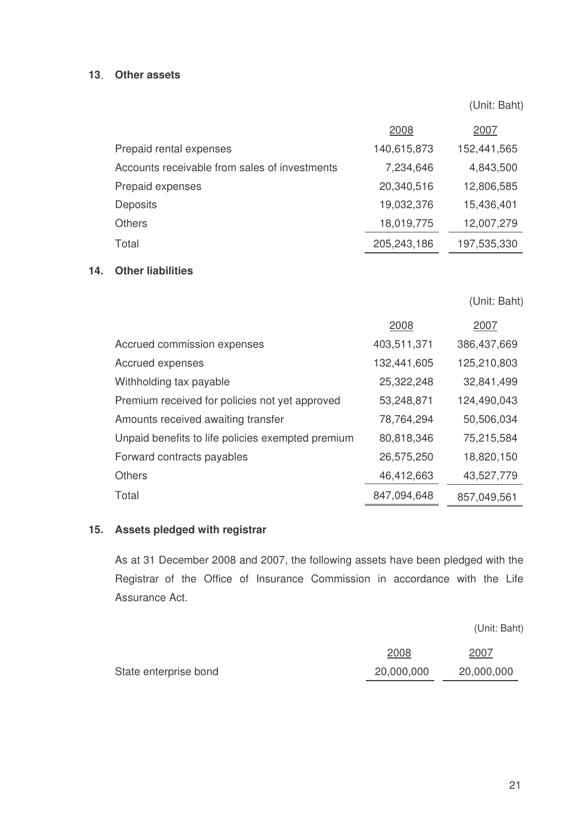## **13 Other assets**

(Unit: Baht)

|                                               | 2008        | 2007        |
|-----------------------------------------------|-------------|-------------|
| Prepaid rental expenses                       | 140,615,873 | 152,441,565 |
| Accounts receivable from sales of investments | 7,234,646   | 4,843,500   |
| Prepaid expenses                              | 20,340,516  | 12,806,585  |
| <b>Deposits</b>                               | 19,032,376  | 15,436,401  |
| <b>Others</b>                                 | 18,019,775  | 12,007,279  |
| Total                                         | 205,243,186 | 197,535,330 |
|                                               |             |             |

## **14. Other liabilities**

(Unit: Baht)

|                                                   | 2008        | 2007        |
|---------------------------------------------------|-------------|-------------|
| Accrued commission expenses                       | 403,511,371 | 386,437,669 |
| Accrued expenses                                  | 132,441,605 | 125,210,803 |
| Withholding tax payable                           | 25,322,248  | 32,841,499  |
| Premium received for policies not yet approved    | 53,248,871  | 124,490,043 |
| Amounts received awaiting transfer                | 78,764,294  | 50,506,034  |
| Unpaid benefits to life policies exempted premium | 80,818,346  | 75,215,584  |
| Forward contracts payables                        | 26,575,250  | 18,820,150  |
| <b>Others</b>                                     | 46,412,663  | 43,527,779  |
| Total                                             | 847,094,648 | 857,049,561 |

## **15. Assets pledged with registrar**

As at 31 December 2008 and 2007, the following assets have been pledged with the Registrar of the Office of Insurance Commission in accordance with the Life Assurance Act.

|                       | 2008       | 2007       |
|-----------------------|------------|------------|
| State enterprise bond | 20,000,000 | 20,000,000 |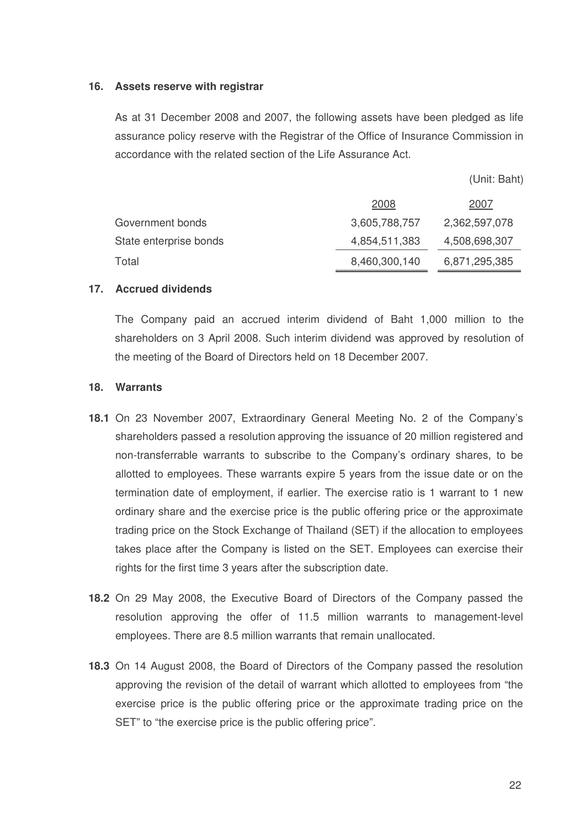#### **16. Assets reserve with registrar**

As at 31 December 2008 and 2007, the following assets have been pledged as life assurance policy reserve with the Registrar of the Office of Insurance Commission in accordance with the related section of the Life Assurance Act.

(Unit: Baht)

|                        | 2008          | 2007          |
|------------------------|---------------|---------------|
| Government bonds       | 3,605,788,757 | 2,362,597,078 |
| State enterprise bonds | 4,854,511,383 | 4,508,698,307 |
| Total                  | 8,460,300,140 | 6,871,295,385 |

#### **17. Accrued dividends**

The Company paid an accrued interim dividend of Baht 1,000 million to the shareholders on 3 April 2008. Such interim dividend was approved by resolution of the meeting of the Board of Directors held on 18 December 2007.

#### **18. Warrants**

- **18.1** On 23 November 2007, Extraordinary General Meeting No. 2 of the Company's shareholders passed a resolution approving the issuance of 20 million registered and non-transferrable warrants to subscribe to the Company's ordinary shares, to be allotted to employees. These warrants expire 5 years from the issue date or on the termination date of employment, if earlier. The exercise ratio is 1 warrant to 1 new ordinary share and the exercise price is the public offering price or the approximate trading price on the Stock Exchange of Thailand (SET) if the allocation to employees takes place after the Company is listed on the SET. Employees can exercise their rights for the first time 3 years after the subscription date.
- **18.2** On 29 May 2008, the Executive Board of Directors of the Company passed the resolution approving the offer of 11.5 million warrants to management-level employees. There are 8.5 million warrants that remain unallocated.
- **18.3** On 14 August 2008, the Board of Directors of the Company passed the resolution approving the revision of the detail of warrant which allotted to employees from "the exercise price is the public offering price or the approximate trading price on the SET" to "the exercise price is the public offering price".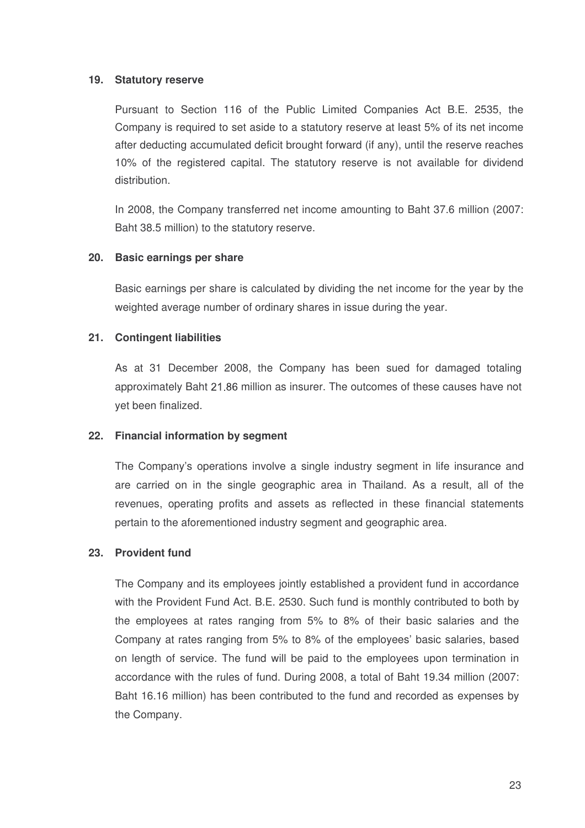## **19. Statutory reserve**

Pursuant to Section 116 of the Public Limited Companies Act B.E. 2535, the Company is required to set aside to a statutory reserve at least 5% of its net income after deducting accumulated deficit brought forward (if any), until the reserve reaches 10% of the registered capital. The statutory reserve is not available for dividend distribution.

In 2008, the Company transferred net income amounting to Baht 37.6 million (2007: Baht 38.5 million) to the statutory reserve.

## **20. Basic earnings per share**

Basic earnings per share is calculated by dividing the net income for the year by the weighted average number of ordinary shares in issue during the year.

## **21. Contingent liabilities**

As at 31 December 2008, the Company has been sued for damaged totaling approximately Baht 21.86 million as insurer. The outcomes of these causes have not yet been finalized

#### **22. Financial information by segment**

The Company's operations involve a single industry segment in life insurance and are carried on in the single geographic area in Thailand. As a result, all of the revenues, operating profits and assets as reflected in these financial statements pertain to the aforementioned industry segment and geographic area.

#### **23. Provident fund**

The Company and its employees jointly established a provident fund in accordance with the Provident Fund Act. B.E. 2530. Such fund is monthly contributed to both by the employees at rates ranging from 5% to 8% of their basic salaries and the Company at rates ranging from 5% to 8% of the employees' basic salaries, based on length of service. The fund will be paid to the employees upon termination in accordance with the rules of fund. During 2008, a total of Baht 19.34 million (2007: Baht 16.16 million) has been contributed to the fund and recorded as expenses by the Company.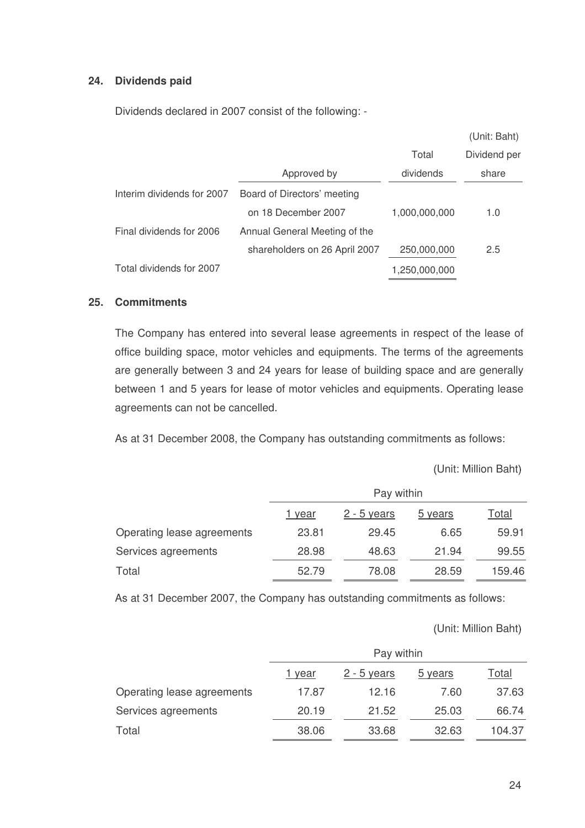## **24. Dividends paid**

Dividends declared in 2007 consist of the following: -

|                               |               | (Unit: Baht) |
|-------------------------------|---------------|--------------|
|                               | Total         | Dividend per |
| Approved by                   | dividends     | share        |
| Board of Directors' meeting   |               |              |
| on 18 December 2007           | 1,000,000,000 | 1.0          |
| Annual General Meeting of the |               |              |
| shareholders on 26 April 2007 | 250,000,000   | 2.5          |
|                               | 1,250,000,000 |              |
|                               |               |              |

### **25. Commitments**

The Company has entered into several lease agreements in respect of the lease of office building space, motor vehicles and equipments. The terms of the agreements are generally between 3 and 24 years for lease of building space and are generally between 1 and 5 years for lease of motor vehicles and equipments. Operating lease agreements can not be cancelled.

As at 31 December 2008, the Company has outstanding commitments as follows:

Unit: Million Baht

|                            | Pay within    |               |         |        |
|----------------------------|---------------|---------------|---------|--------|
|                            | <u>1 year</u> | $2 - 5$ years | 5 years | Total  |
| Operating lease agreements | 23.81         | 29.45         | 6.65    | 59.91  |
| Services agreements        | 28.98         | 48.63         | 21.94   | 99.55  |
| Total                      | 52.79         | 78.08         | 28.59   | 159.46 |

As at 31 December 2007, the Company has outstanding commitments as follows:

Unit: Million Baht

|                            | Pay within    |                    |         |              |
|----------------------------|---------------|--------------------|---------|--------------|
|                            | <u>1 year</u> | <u>2 - 5 years</u> | 5 years | <u>Total</u> |
| Operating lease agreements | 17.87         | 12.16              | 7.60    | 37.63        |
| Services agreements        | 20.19         | 21.52              | 25.03   | 66.74        |
| Total                      | 38.06         | 33.68              | 32.63   | 104.37       |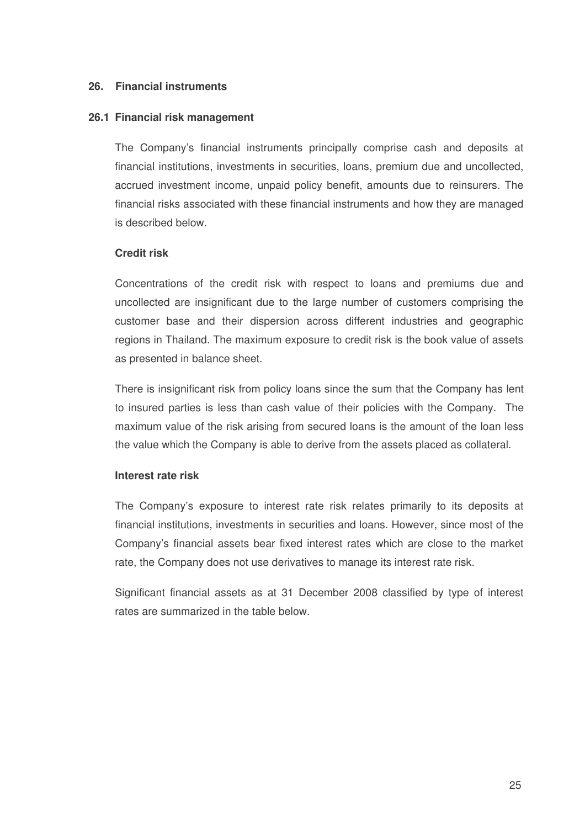## **26. Financial instruments**

#### **26.1 Financial risk management**

The Company's financial instruments principally comprise cash and deposits at financial institutions, investments in securities, loans, premium due and uncollected, accrued investment income, unpaid policy benefit, amounts due to reinsurers. The financial risks associated with these financial instruments and how they are managed is described below.

#### **Credit risk**

Concentrations of the credit risk with respect to loans and premiums due and uncollected are insignificant due to the large number of customers comprising the customer base and their dispersion across different industries and geographic regions in Thailand. The maximum exposure to credit risk is the book value of assets as presented in balance sheet.

There is insignificant risk from policy loans since the sum that the Company has lent to insured parties is less than cash value of their policies with the Company. The maximum value of the risk arising from secured loans is the amount of the loan less the value which the Company is able to derive from the assets placed as collateral.

#### **Interest rate risk**

The Company's exposure to interest rate risk relates primarily to its deposits at financial institutions, investments in securities and loans. However, since most of the Company's financial assets bear fixed interest rates which are close to the market rate, the Company does not use derivatives to manage its interest rate risk.

Significant financial assets as at 31 December 2008 classified by type of interest rates are summarized in the table below.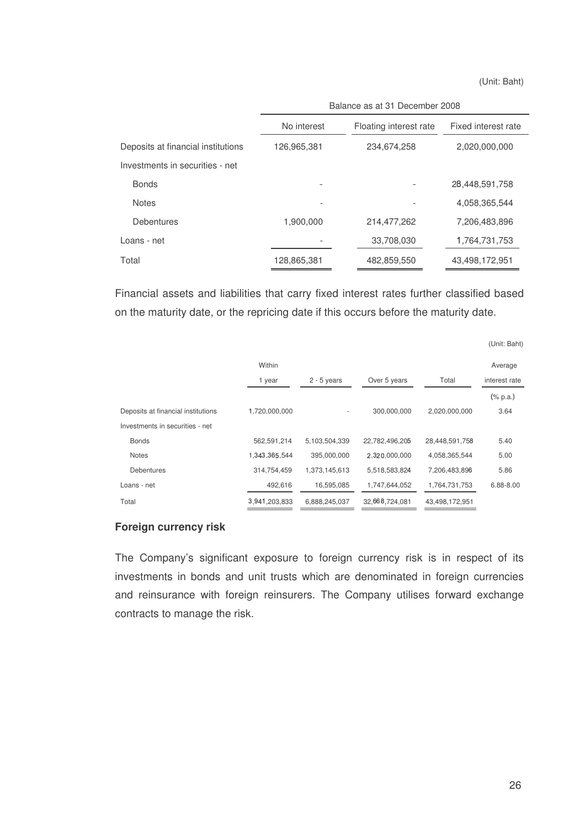(Unit: Baht)

|                                    | Balance as at 31 December 2008 |                        |                |  |
|------------------------------------|--------------------------------|------------------------|----------------|--|
|                                    | No interest                    | Floating interest rate |                |  |
| Deposits at financial institutions | 126,965,381                    | 234,674,258            | 2,020,000,000  |  |
| Investments in securities - net    |                                |                        |                |  |
| <b>Bonds</b>                       |                                |                        | 28,448,591,758 |  |
| <b>Notes</b>                       |                                |                        | 4,058,365,544  |  |
| Debentures                         | 1,900,000                      | 214,477,262            | 7,206,483,896  |  |
| Loans - net                        |                                | 33,708,030             | 1,764,731,753  |  |
| Total                              | 128,865,381                    | 482,859,550            | 43,498,172,951 |  |
|                                    |                                |                        |                |  |

Financial assets and liabilities that carry fixed interest rates further classified based on the maturity date, or the repricing date if this occurs before the maturity date.

|                                    |               |               |                |                | (Unit: Baht)  |
|------------------------------------|---------------|---------------|----------------|----------------|---------------|
|                                    | Within        |               |                |                | Average       |
|                                    | 1 year        | $2 - 5$ years | Over 5 years   | Total          | interest rate |
|                                    |               |               |                |                | $(\%$ p.a.)   |
| Deposits at financial institutions | 1,720,000,000 | ٠             | 300.000.000    | 2,020,000,000  | 3.64          |
| Investments in securities - net    |               |               |                |                |               |
| <b>Bonds</b>                       | 562,591,214   | 5,103,504,339 | 22,782,496,205 | 28,448,591,758 | 5.40          |
| <b>Notes</b>                       | 1,343,365,544 | 395,000,000   | 2,320,000,000  | 4,058,365,544  | 5.00          |
| <b>Debentures</b>                  | 314,754,459   | 1,373,145,613 | 5,518,583,824  | 7,206,483,896  | 5.86          |
| Loans - net                        | 492,616       | 16,595,085    | 1,747,644,052  | 1,764,731,753  | 6.88-8.00     |
| Total                              | 3.941.203.833 | 6,888,245,037 | 32,668,724,081 | 43,498,172,951 |               |

## **Foreign currency risk**

The Company's significant exposure to foreign currency risk is in respect of its investments in bonds and unit trusts which are denominated in foreign currencies and reinsurance with foreign reinsurers. The Company utilises forward exchange contracts to manage the risk.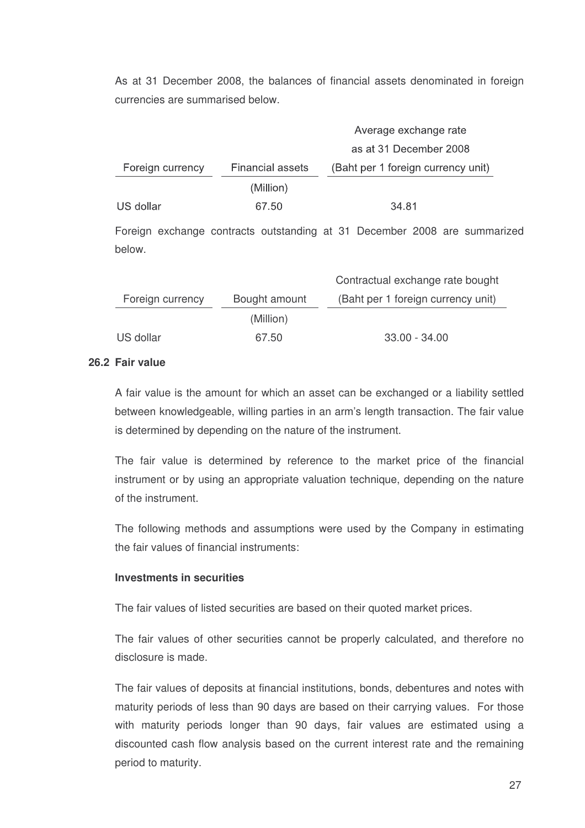As at 31 December 2008, the balances of financial assets denominated in foreign currencies are summarised below.

|                  |                         | Average exchange rate              |
|------------------|-------------------------|------------------------------------|
|                  |                         | as at 31 December 2008             |
| Foreign currency | <b>Financial assets</b> | (Baht per 1 foreign currency unit) |
|                  | (Million)               |                                    |
| US dollar        | 67.50                   | 34 81                              |
|                  |                         |                                    |

Foreign exchange contracts outstanding at 31 December 2008 are summarized below.

|                  |               | Contractual exchange rate bought   |
|------------------|---------------|------------------------------------|
| Foreign currency | Bought amount | (Baht per 1 foreign currency unit) |
|                  | (Million)     |                                    |
| US dollar        | 67.50         | $33.00 - 34.00$                    |

#### **26.2 Fair value**

A fair value is the amount for which an asset can be exchanged or a liability settled between knowledgeable, willing parties in an arm's length transaction. The fair value is determined by depending on the nature of the instrument.

The fair value is determined by reference to the market price of the financial instrument or by using an appropriate valuation technique, depending on the nature of the instrument.

The following methods and assumptions were used by the Company in estimating the fair values of financial instruments:

#### **Investments in securities**

The fair values of listed securities are based on their quoted market prices.

The fair values of other securities cannot be properly calculated, and therefore no disclosure is made.

The fair values of deposits at financial institutions, bonds, debentures and notes with maturity periods of less than 90 days are based on their carrying values. For those with maturity periods longer than 90 days, fair values are estimated using a discounted cash flow analysis based on the current interest rate and the remaining period to maturity.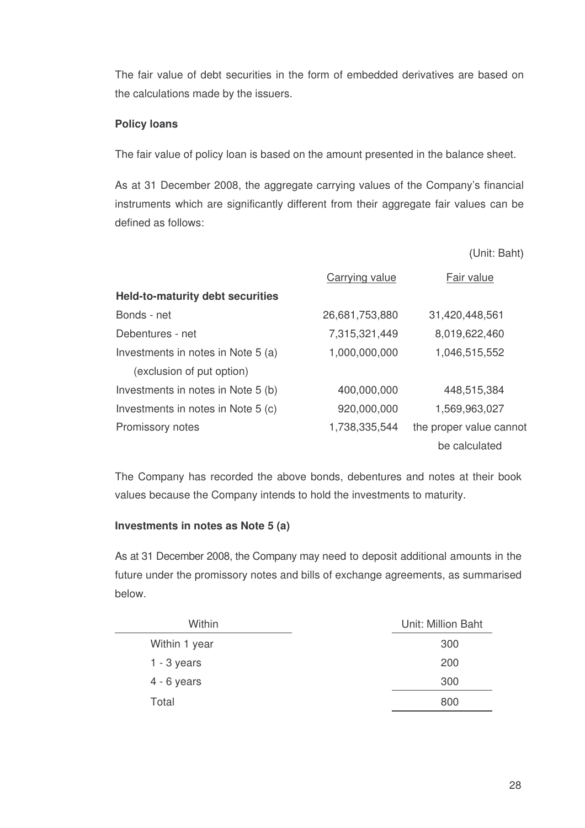The fair value of debt securities in the form of embedded derivatives are based on the calculations made by the issuers.

## **Policy loans**

The fair value of policy loan is based on the amount presented in the balance sheet.

As at 31 December 2008, the aggregate carrying values of the Company's financial instruments which are significantly different from their aggregate fair values can be defined as follows:

Unit: Baht

|                                         | Carrying value | Fair value              |
|-----------------------------------------|----------------|-------------------------|
| <b>Held-to-maturity debt securities</b> |                |                         |
| Bonds - net                             | 26,681,753,880 | 31,420,448,561          |
| Debentures - net                        | 7,315,321,449  | 8,019,622,460           |
| Investments in notes in Note 5 (a)      | 1,000,000,000  | 1,046,515,552           |
| (exclusion of put option)               |                |                         |
| Investments in notes in Note 5 (b)      | 400,000,000    | 448,515,384             |
| Investments in notes in Note 5 (c)      | 920,000,000    | 1,569,963,027           |
| Promissory notes                        | 1,738,335,544  | the proper value cannot |
|                                         |                | be calculated           |

The Company has recorded the above bonds, debentures and notes at their book values because the Company intends to hold the investments to maturity.

#### **Investments in notes as Note 5 (a)**

As at 31 December 2008, the Company may need to deposit additional amounts in the future under the promissory notes and bills of exchange agreements, as summarised below.

| Within        | Unit: Million Baht |
|---------------|--------------------|
| Within 1 year | 300                |
| $1 - 3$ years | 200                |
| $4 - 6$ years | 300                |
| Total         | 800                |